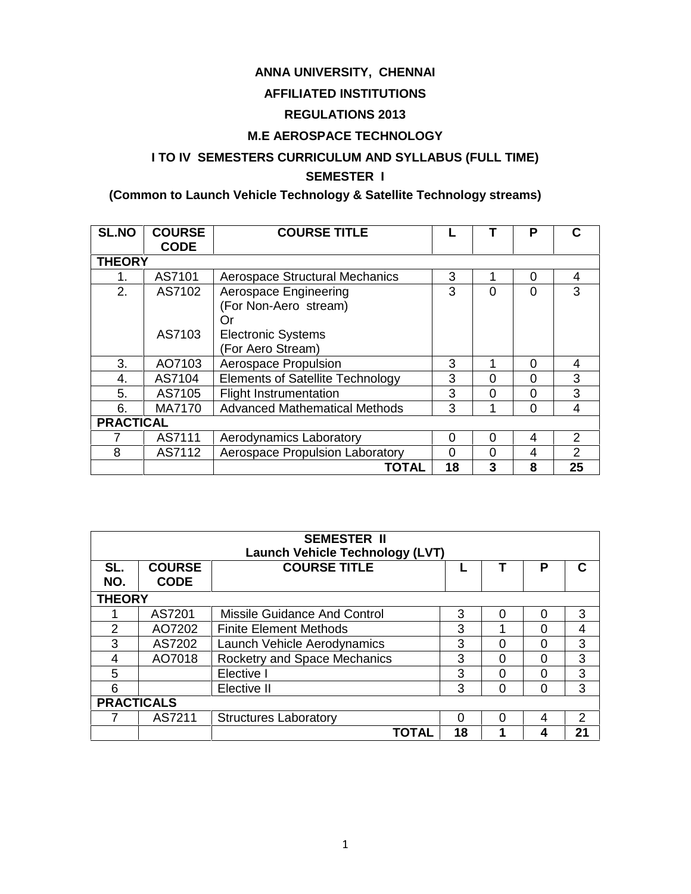## **ANNA UNIVERSITY, CHENNAI**

## **AFFILIATED INSTITUTIONS**

## **REGULATIONS 2013**

## **M.E AEROSPACE TECHNOLOGY**

## **I TO IV SEMESTERS CURRICULUM AND SYLLABUS (FULL TIME) SEMESTER I**

## **(Common to Launch Vehicle Technology & Satellite Technology streams)**

| <b>SL.NO</b>     | <b>COURSE</b><br><b>CODE</b> | <b>COURSE TITLE</b>                                  |          |             | P        | C             |  |
|------------------|------------------------------|------------------------------------------------------|----------|-------------|----------|---------------|--|
| <b>THEORY</b>    |                              |                                                      |          |             |          |               |  |
| 1.               | AS7101                       | <b>Aerospace Structural Mechanics</b>                | 3        |             | 0        | 4             |  |
| 2.               | AS7102                       | Aerospace Engineering<br>(For Non-Aero stream)<br>Or | 3        | $\Omega$    | $\Omega$ | 3             |  |
|                  | AS7103                       | <b>Electronic Systems</b><br>(For Aero Stream)       |          |             |          |               |  |
| 3.               | AO7103                       | Aerospace Propulsion                                 | 3        |             | 0        | 4             |  |
| 4.               | AS7104                       | <b>Elements of Satellite Technology</b>              | 3        | 0           | 0        | 3             |  |
| 5.               | AS7105                       | <b>Flight Instrumentation</b>                        | 3        | 0           | $\Omega$ | 3             |  |
| 6.               | MA7170                       | <b>Advanced Mathematical Methods</b>                 | 3        | 4           | $\Omega$ | 4             |  |
| <b>PRACTICAL</b> |                              |                                                      |          |             |          |               |  |
|                  | AS7111                       | Aerodynamics Laboratory                              | 0        | $\mathbf 0$ | 4        | 2             |  |
| 8                | AS7112                       | Aerospace Propulsion Laboratory                      | $\Omega$ | $\Omega$    | 4        | $\mathcal{P}$ |  |
|                  |                              | <b>TOTAL</b>                                         | 18       | 3           | 8        | 25            |  |

|                   |                              | <b>SEMESTER II</b><br><b>Launch Vehicle Technology (LVT)</b> |    |   |   |               |  |
|-------------------|------------------------------|--------------------------------------------------------------|----|---|---|---------------|--|
| SL.<br>NO.        | <b>COURSE</b><br><b>CODE</b> | <b>COURSE TITLE</b>                                          |    |   | Р | C             |  |
| <b>THEORY</b>     |                              |                                                              |    |   |   |               |  |
|                   | AS7201                       | Missile Guidance And Control                                 | 3  | ∩ | 0 | 3             |  |
| $\mathcal{P}$     | AO7202                       | <b>Finite Element Methods</b>                                | 3  |   | O | 4             |  |
| 3                 | AS7202                       | Launch Vehicle Aerodynamics                                  | 3  | ∩ | ∩ | 3             |  |
| 4                 | AO7018                       | Rocketry and Space Mechanics                                 | 3  | ∩ | ∩ | 3             |  |
| 5                 |                              | Elective I                                                   | 3  | O | O | 3             |  |
| 6                 |                              | Elective II                                                  | 3  | ∩ | 0 | 3             |  |
| <b>PRACTICALS</b> |                              |                                                              |    |   |   |               |  |
|                   | AS7211                       | <b>Structures Laboratory</b>                                 | Ω  | O | 4 | $\mathcal{P}$ |  |
|                   |                              | TOTAL                                                        | 18 |   | 4 | 21            |  |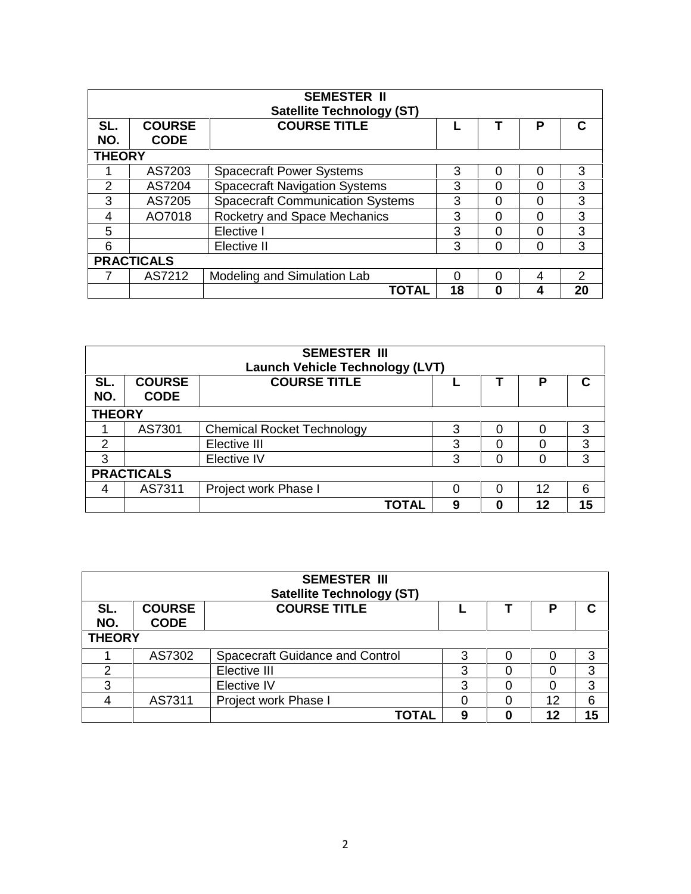|               |                              | <b>SEMESTER II</b><br><b>Satellite Technology (ST)</b> |    |   |          |               |
|---------------|------------------------------|--------------------------------------------------------|----|---|----------|---------------|
| SL.<br>NO.    | <b>COURSE</b><br><b>CODE</b> | <b>COURSE TITLE</b>                                    |    |   | P        | C             |
| <b>THEORY</b> |                              |                                                        |    |   |          |               |
|               | AS7203                       | <b>Spacecraft Power Systems</b>                        | 3  | 0 | 0        | 3             |
| 2             | AS7204                       | <b>Spacecraft Navigation Systems</b>                   | 3  | ი | ი        | 3             |
| 3             | AS7205                       | <b>Spacecraft Communication Systems</b>                | 3  | 0 | 0        | 3             |
| 4             | AO7018                       | Rocketry and Space Mechanics                           | 3  | 0 | 0        | 3             |
| 5             |                              | Elective I                                             | 3  | O | 0        | 3             |
| 6             |                              | Elective II                                            | 3  | 0 | $\Omega$ | 3             |
|               | <b>PRACTICALS</b>            |                                                        |    |   |          |               |
|               | AS7212                       | Modeling and Simulation Lab                            | O  | ∩ | 4        | $\mathcal{P}$ |
|               |                              | TOTAL                                                  | 18 | 0 | 4        | 20            |

| <b>SEMESTER III</b><br><b>Launch Vehicle Technology (LVT)</b> |                              |                                   |   |   |    |    |  |
|---------------------------------------------------------------|------------------------------|-----------------------------------|---|---|----|----|--|
| SL.<br>NO.                                                    | <b>COURSE</b><br><b>CODE</b> | <b>COURSE TITLE</b>               |   |   | Р  | C  |  |
| <b>THEORY</b>                                                 |                              |                                   |   |   |    |    |  |
|                                                               | AS7301                       | <b>Chemical Rocket Technology</b> | 3 | Ω |    | 3  |  |
| 2                                                             |                              | Elective III                      | 3 | Ω |    | 3  |  |
| 3                                                             |                              | Elective IV                       | 3 | 0 | ∩  | 3  |  |
| <b>PRACTICALS</b>                                             |                              |                                   |   |   |    |    |  |
| 4                                                             | AS7311                       | Project work Phase I              | O | 0 | 12 | 6  |  |
|                                                               |                              | TOTAL                             | 9 |   | 12 | 15 |  |

| <b>SEMESTER III</b><br><b>Satellite Technology (ST)</b> |                              |                                        |   |  |    |    |  |
|---------------------------------------------------------|------------------------------|----------------------------------------|---|--|----|----|--|
| SL.<br>NO.                                              | <b>COURSE</b><br><b>CODE</b> | <b>COURSE TITLE</b>                    |   |  | D  | С  |  |
| <b>THEORY</b>                                           |                              |                                        |   |  |    |    |  |
|                                                         | AS7302                       | <b>Spacecraft Guidance and Control</b> | 3 |  |    | 3  |  |
| າ                                                       |                              | Elective III                           | 3 |  |    | 3  |  |
| 3                                                       |                              | Elective IV                            | 3 |  |    | 3  |  |
|                                                         | AS7311                       | Project work Phase I                   |   |  | 12 | 6  |  |
|                                                         |                              | <b>TOTAL</b>                           | 9 |  | 12 | 15 |  |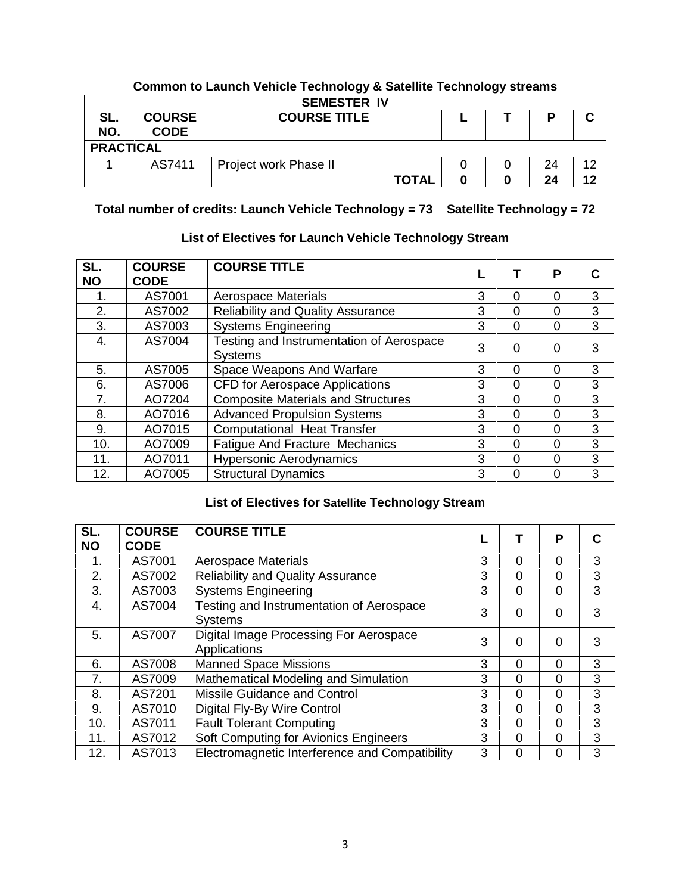|                  |                              | . .<br><b>SEMESTER IV</b> | . . |    |        |
|------------------|------------------------------|---------------------------|-----|----|--------|
| SL.<br>NO.       | <b>COURSE</b><br><b>CODE</b> | <b>COURSE TITLE</b>       |     | D  | ◠<br>v |
| <b>PRACTICAL</b> |                              |                           |     |    |        |
|                  | AS7411                       | Project work Phase II     |     | 24 | 12     |
|                  |                              | <b>TOTAL</b>              |     | 24 | 12     |

## **Common to Launch Vehicle Technology & Satellite Technology streams**

**Total number of credits: Launch Vehicle Technology = 73 Satellite Technology = 72**

## **List of Electives for Launch Vehicle Technology Stream**

| SL.<br><b>NO</b> | <b>COURSE</b><br><b>CODE</b> | <b>COURSE TITLE</b>                                        |   |          | Р        | C |
|------------------|------------------------------|------------------------------------------------------------|---|----------|----------|---|
| 1.               | AS7001                       | <b>Aerospace Materials</b>                                 | 3 | $\Omega$ | 0        | 3 |
| 2.               | AS7002                       | <b>Reliability and Quality Assurance</b>                   | 3 | $\Omega$ | 0        | 3 |
| 3.               | AS7003                       | <b>Systems Engineering</b>                                 | 3 | $\Omega$ | 0        | 3 |
| 4.               | AS7004                       | Testing and Instrumentation of Aerospace<br><b>Systems</b> | 3 | $\Omega$ | 0        | 3 |
| 5.               | AS7005                       | Space Weapons And Warfare                                  | 3 | $\Omega$ | 0        | 3 |
| 6.               | AS7006                       | <b>CFD for Aerospace Applications</b>                      | 3 | $\Omega$ | 0        | 3 |
| 7.               | AO7204                       | <b>Composite Materials and Structures</b>                  | 3 | $\Omega$ | 0        | 3 |
| 8.               | AO7016                       | <b>Advanced Propulsion Systems</b>                         | 3 | $\Omega$ | 0        | 3 |
| 9.               | AO7015                       | <b>Computational Heat Transfer</b>                         | 3 | $\Omega$ | 0        | 3 |
| 10.              | AO7009                       | Fatigue And Fracture Mechanics                             | 3 | $\Omega$ | 0        | 3 |
| 11.              | AO7011                       | <b>Hypersonic Aerodynamics</b>                             | 3 | $\Omega$ | $\Omega$ | 3 |
| 12.              | AO7005                       | <b>Structural Dynamics</b>                                 | 3 | $\Omega$ | 0        | 3 |

## **List of Electives for Satellite Technology Stream**

| SL.<br><b>NO</b> | <b>COURSE</b><br><b>CODE</b> | <b>COURSE TITLE</b>                                        |   |          | Р | С |
|------------------|------------------------------|------------------------------------------------------------|---|----------|---|---|
| 1.               | AS7001                       | <b>Aerospace Materials</b>                                 | 3 | 0        | 0 | 3 |
| 2.               | AS7002                       | <b>Reliability and Quality Assurance</b>                   | 3 | 0        | 0 | 3 |
| 3.               | AS7003                       | <b>Systems Engineering</b>                                 | 3 | 0        | 0 | 3 |
| 4.               | AS7004                       | Testing and Instrumentation of Aerospace<br><b>Systems</b> | 3 | $\Omega$ | 0 | 3 |
| 5.               | AS7007                       | Digital Image Processing For Aerospace<br>Applications     | 3 | 0        | 0 | 3 |
| 6.               | AS7008                       | <b>Manned Space Missions</b>                               | 3 | 0        | ი | 3 |
| 7.               | AS7009                       | Mathematical Modeling and Simulation                       | 3 | 0        | 0 | 3 |
| 8.               | AS7201                       | Missile Guidance and Control                               | 3 | 0        | 0 | 3 |
| 9.               | AS7010                       | Digital Fly-By Wire Control                                | 3 | $\Omega$ | ი | 3 |
| 10.              | AS7011                       | <b>Fault Tolerant Computing</b>                            | 3 | 0        | 0 | 3 |
| 11.              | AS7012                       | Soft Computing for Avionics Engineers                      | 3 | 0        | 0 | 3 |
| 12.              | AS7013                       | Electromagnetic Interference and Compatibility             | 3 | $\Omega$ | 0 | 3 |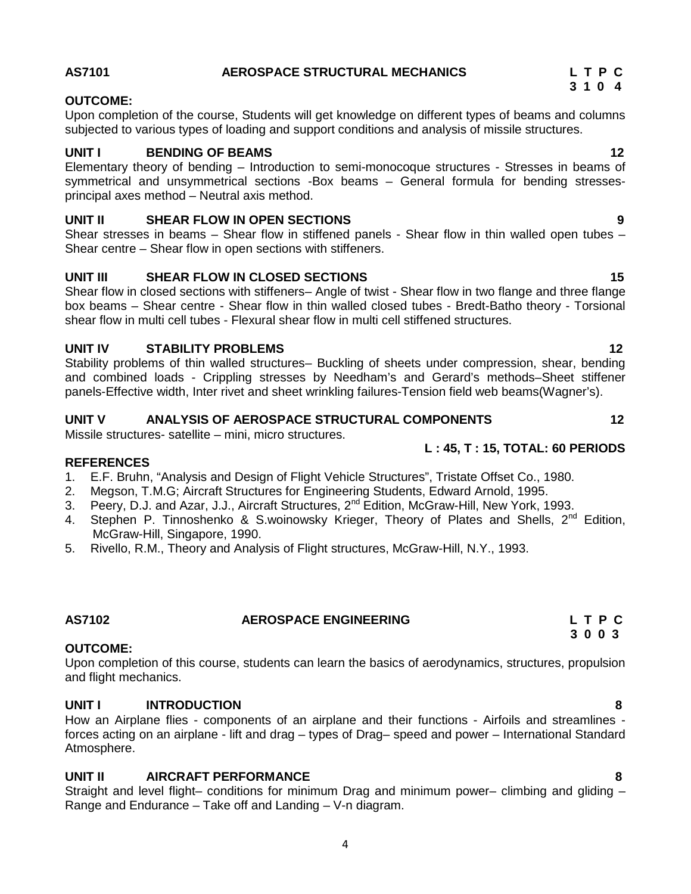## 4

## **AS7101 AEROSPACE STRUCTURAL MECHANICS L T P C**

## **OUTCOME:**

Upon completion of the course, Students will get knowledge on different types of beams and columns subjected to various types of loading and support conditions and analysis of missile structures.

## **UNIT I BENDING OF BEAMS 12**

Elementary theory of bending – Introduction to semi-monocoque structures - Stresses in beams of symmetrical and unsymmetrical sections -Box beams – General formula for bending stresses principal axes method – Neutral axis method.

## **UNIT II SHEAR FLOW IN OPEN SECTIONS 9**

Shear stresses in beams – Shear flow in stiffened panels - Shear flow in thin walled open tubes – Shear centre – Shear flow in open sections with stiffeners.

## **UNIT III SHEAR FLOW IN CLOSED SECTIONS 15**

Shear flow in closed sections with stiffeners– Angle of twist - Shear flow in two flange and three flange box beams – Shear centre - Shear flow in thin walled closed tubes - Bredt-Batho theory - Torsional shear flow in multi cell tubes - Flexural shear flow in multi cell stiffened structures.

## **UNIT IV STABILITY PROBLEMS 12**

Stability problems of thin walled structures– Buckling of sheets under compression, shear, bending and combined loads - Crippling stresses by Needham's and Gerard's methods–Sheet stiffener panels-Effective width, Inter rivet and sheet wrinkling failures-Tension field web beams(Wagner's).

## **UNIT V ANALYSIS OF AEROSPACE STRUCTURAL COMPONENTS 12**

Missile structures- satellite – mini, micro structures.

## **REFERENCES**

- 1. E.F. Bruhn, "Analysis and Design of Flight Vehicle Structures", Tristate Offset Co., 1980.
- 2. Megson, T.M.G; Aircraft Structures for Engineering Students, Edward Arnold, 1995.
- 3. Peery, D.J. and Azar, J.J., Aircraft Structures, 2<sup>nd</sup> Edition, McGraw-Hill, New York, 1993.
- 4. Stephen P. Tinnoshenko & S.woinowsky Krieger, Theory of Plates and Shells, 2<sup>nd</sup> Edition, McGraw-Hill, Singapore, 1990.
- 5. Rivello, R.M., Theory and Analysis of Flight structures, McGraw-Hill, N.Y., 1993.

## **OUTCOME:**

Upon completion of this course, students can learn the basics of aerodynamics, structures, propulsion and flight mechanics.

## **UNIT I INTRODUCTION 8**

How an Airplane flies - components of an airplane and their functions - Airfoils and streamlines forces acting on an airplane - lift and drag – types of Drag– speed and power – International Standard Atmosphere.

## **UNIT II AIRCRAFT PERFORMANCE 8**

Straight and level flight– conditions for minimum Drag and minimum power– climbing and gliding – Range and Endurance – Take off and Landing – V-n diagram.

## **L : 45, T : 15, TOTAL: 60 PERIODS**

## **AS7102 AEROSPACE ENGINEERING L T P C 3 0 0 3**

# **3 1 0 4**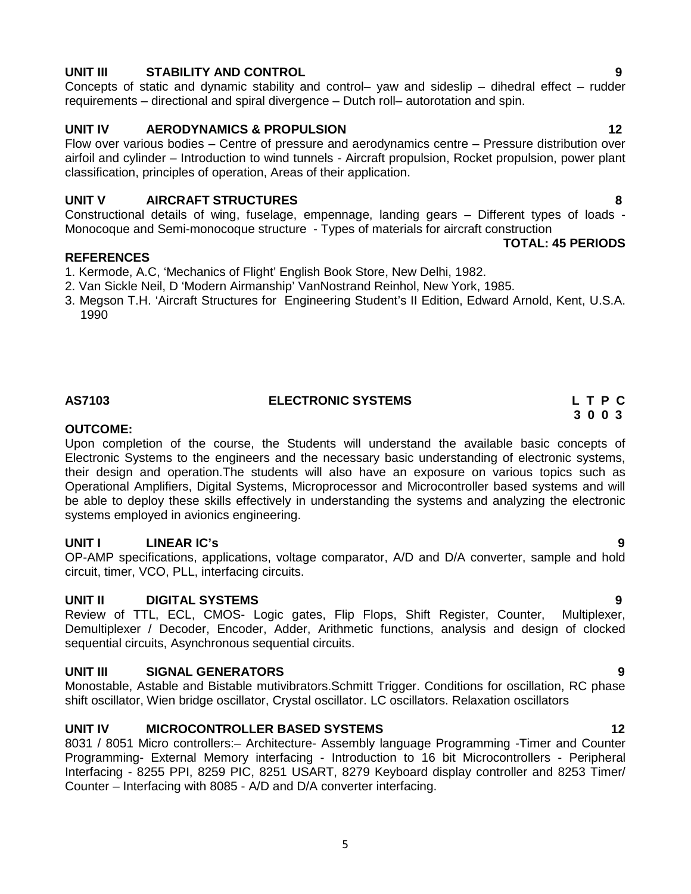## **UNIT III STABILITY AND CONTROL 9**

Concepts of static and dynamic stability and control– yaw and sideslip – dihedral effect – rudder requirements – directional and spiral divergence – Dutch roll– autorotation and spin.

## **UNIT IV AERODYNAMICS & PROPULSION 12**

Flow over various bodies – Centre of pressure and aerodynamics centre – Pressure distribution over airfoil and cylinder – Introduction to wind tunnels - Aircraft propulsion, Rocket propulsion, power plant classification, principles of operation, Areas of their application.

## **UNIT V AIRCRAFT STRUCTURES 8**

Constructional details of wing, fuselage, empennage, landing gears – Different types of loads - Monocoque and Semi-monocoque structure - Types of materials for aircraft construction **TOTAL: 45 PERIODS**

## **REFERENCES**

- 1. Kermode, A.C, 'Mechanics of Flight' English Book Store, New Delhi, 1982.
- 2. Van Sickle Neil, D 'Modern Airmanship' VanNostrand Reinhol, New York, 1985.
- 3. Megson T.H. 'Aircraft Structures for Engineering Student's II Edition, Edward Arnold, Kent, U.S.A. 1990

## **AS7103 ELECTRONIC SYSTEMS L T P C**

## **OUTCOME:**

Upon completion of the course, the Students will understand the available basic concepts of Electronic Systems to the engineers and the necessary basic understanding of electronic systems, their design and operation.The students will also have an exposure on various topics such as Operational Amplifiers, Digital Systems, Microprocessor and Microcontroller based systems and will be able to deploy these skills effectively in understanding the systems and analyzing the electronic systems employed in avionics engineering.

## **UNIT I LINEAR IC's 9**

OP-AMP specifications, applications, voltage comparator, A/D and D/A converter, sample and hold circuit, timer, VCO, PLL, interfacing circuits.

**UNIT II DIGITAL SYSTEMS**<br>Review of TTL, ECL, CMOS- Logic gates, Flip Flops, Shift Register, Counter, Multiplexer, Review of TTL, ECL, CMOS- Logic gates, Flip Flops, Shift Register, Counter, Demultiplexer / Decoder, Encoder, Adder, Arithmetic functions, analysis and design of clocked sequential circuits, Asynchronous sequential circuits.

## **UNIT III SIGNAL GENERATORS 9**

Monostable, Astable and Bistable mutivibrators.Schmitt Trigger. Conditions for oscillation, RC phase shift oscillator, Wien bridge oscillator, Crystal oscillator. LC oscillators. Relaxation oscillators

## **UNIT IV MICROCONTROLLER BASED SYSTEMS 12**

8031 / 8051 Micro controllers:– Architecture- Assembly language Programming -Timer and Counter Programming- External Memory interfacing - Introduction to 16 bit Microcontrollers - Peripheral Interfacing - 8255 PPI, 8259 PIC, 8251 USART, 8279 Keyboard display controller and 8253 Timer/ Counter – Interfacing with 8085 - A/D and D/A converter interfacing.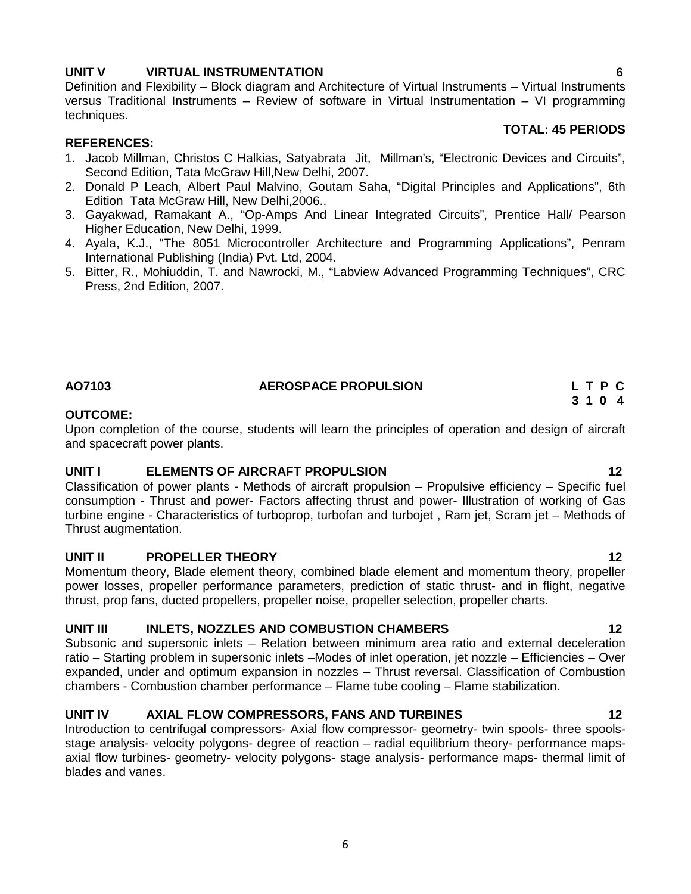## **UNIT V VIRTUAL INSTRUMENTATION 6**

Definition and Flexibility – Block diagram and Architecture of Virtual Instruments – Virtual Instruments versus Traditional Instruments – Review of software in Virtual Instrumentation – VI programming techniques.

## **TOTAL: 45 PERIODS**

## **REFERENCES:**

- 1. Jacob Millman, Christos C Halkias, Satyabrata Jit, Millman's, "Electronic Devices and Circuits", Second Edition, Tata McGraw Hill, New Delhi, 2007.
- 2. Donald P Leach, Albert Paul Malvino, Goutam Saha, "Digital Principles and Applications", 6th Edition Tata McGraw Hill, New Delhi,2006..
- 3. Gayakwad, Ramakant A., "Op-Amps And Linear Integrated Circuits", Prentice Hall/ Pearson Higher Education, New Delhi, 1999.
- 4. Ayala, K.J., "The 8051 Microcontroller Architecture and Programming Applications", Penram International Publishing (India) Pvt. Ltd, 2004.
- 5. Bitter, R., Mohiuddin, T. and Nawrocki, M., "Labview Advanced Programming Techniques", CRC Press, 2nd Edition, 2007.

## **AO7103 AEROSPACE PROPULSION L T P C**

## **OUTCOME:**

Upon completion of the course, students will learn the principles of operation and design of aircraft and spacecraft power plants.

## **UNIT I ELEMENTS OF AIRCRAFT PROPULSION 12**

Classification of power plants - Methods of aircraft propulsion – Propulsive efficiency – Specific fuel consumption - Thrust and power- Factors affecting thrust and power- Illustration of working of Gas turbine engine - Characteristics of turboprop, turbofan and turbojet , Ram jet, Scram jet – Methods of Thrust augmentation.

## **UNIT II PROPELLER THEORY 12**

Momentum theory, Blade element theory, combined blade element and momentum theory, propeller power losses, propeller performance parameters, prediction of static thrust- and in flight, negative thrust, prop fans, ducted propellers, propeller noise, propeller selection, propeller charts.

## **UNIT III INLETS, NOZZLES AND COMBUSTION CHAMBERS 12**

Subsonic and supersonic inlets – Relation between minimum area ratio and external deceleration ratio – Starting problem in supersonic inlets –Modes of inlet operation, jet nozzle – Efficiencies – Over expanded, under and optimum expansion in nozzles – Thrust reversal. Classification of Combustion chambers - Combustion chamber performance – Flame tube cooling – Flame stabilization.

## **UNIT IV AXIAL FLOW COMPRESSORS, FANS AND TURBINES 12**

Introduction to centrifugal compressors- Axial flow compressor- geometry- twin spools- three spools stage analysis- velocity polygons- degree of reaction – radial equilibrium theory- performance maps axial flow turbines- geometry- velocity polygons- stage analysis- performance maps- thermal limit of blades and vanes.

**3 1 0 4**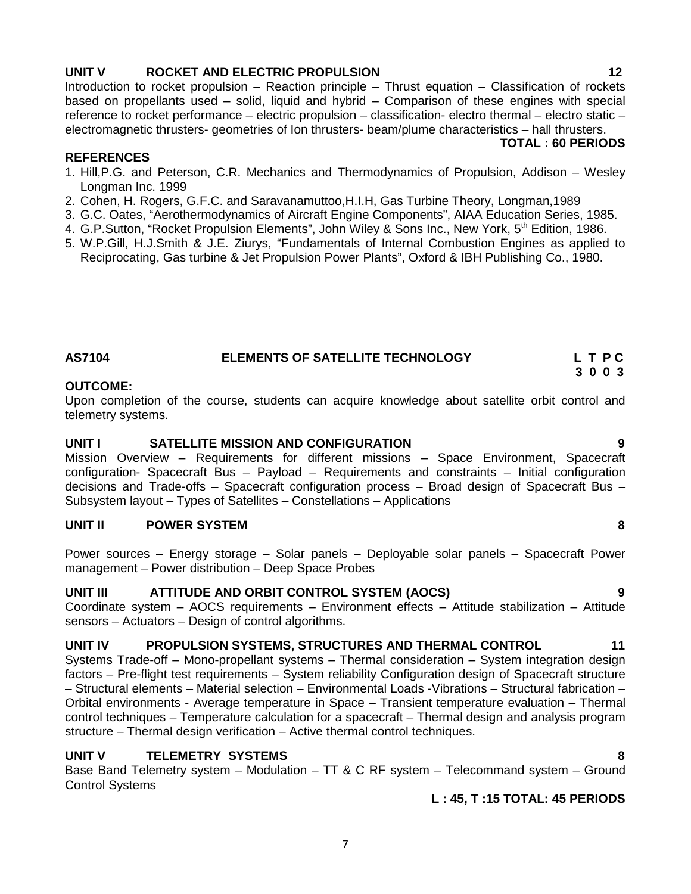## **UNIT V ROCKET AND ELECTRIC PROPULSION 12**

Introduction to rocket propulsion – Reaction principle – Thrust equation – Classification of rockets based on propellants used – solid, liquid and hybrid – Comparison of these engines with special reference to rocket performance – electric propulsion – classification- electro thermal – electro static – electromagnetic thrusters- geometries of Ion thrusters- beam/plume characteristics – hall thrusters.

## **TOTAL : 60 PERIODS**

- 1. Hill,P.G. and Peterson, C.R. Mechanics and Thermodynamics of Propulsion, Addison Wesley Longman Inc. 1999
- 2. Cohen, H. Rogers, G.F.C. and Saravanamuttoo,H.I.H, Gas Turbine Theory, Longman,1989
- 3. G.C. Oates, "Aerothermodynamics of Aircraft Engine Components", AIAA Education Series, 1985.
- 4. G.P.Sutton, "Rocket Propulsion Elements", John Wiley & Sons Inc., New York, 5<sup>th</sup> Edition, 1986.
- 5. W.P.Gill, H.J.Smith & J.E. Ziurys, "Fundamentals of Internal Combustion Engines as applied to Reciprocating, Gas turbine & Jet Propulsion Power Plants", Oxford & IBH Publishing Co., 1980.

**UNIT I SATELLITE MISSION AND CONFIGURATION 9** Mission Overview – Requirements for different missions – Space Environment, Spacecraft configuration- Spacecraft Bus – Payload – Requirements and constraints – Initial configuration decisions and Trade-offs – Spacecraft configuration process – Broad design of Spacecraft Bus –

**AS7104 ELEMENTS OF SATELLITE TECHNOLOGY L T P C**

Upon completion of the course, students can acquire knowledge about satellite orbit control and

## **UNIT II POWER SYSTEM 8**

**REFERENCES**

**OUTCOME:**

telemetry systems.

Power sources – Energy storage – Solar panels – Deployable solar panels – Spacecraft Power management – Power distribution – Deep Space Probes

## **UNIT III ATTITUDE AND ORBIT CONTROL SYSTEM (AOCS) 9**

Subsystem layout – Types of Satellites – Constellations – Applications

Coordinate system – AOCS requirements – Environment effects – Attitude stabilization – Attitude sensors – Actuators – Design of control algorithms.

## **UNIT IV PROPULSION SYSTEMS, STRUCTURES AND THERMAL CONTROL 11**

Systems Trade-off – Mono-propellant systems – Thermal consideration – System integration design factors – Pre-flight test requirements – System reliability Configuration design of Spacecraft structure – Structural elements – Material selection – Environmental Loads -Vibrations – Structural fabrication – Orbital environments - Average temperature in Space – Transient temperature evaluation – Thermal control techniques – Temperature calculation for a spacecraft – Thermal design and analysis program structure – Thermal design verification – Active thermal control techniques.

## **UNIT V TELEMETRY SYSTEMS 8**

Base Band Telemetry system – Modulation – TT & C RF system – Telecommand system – Ground Control Systems

7

**L : 45, T :15 TOTAL: 45 PERIODS**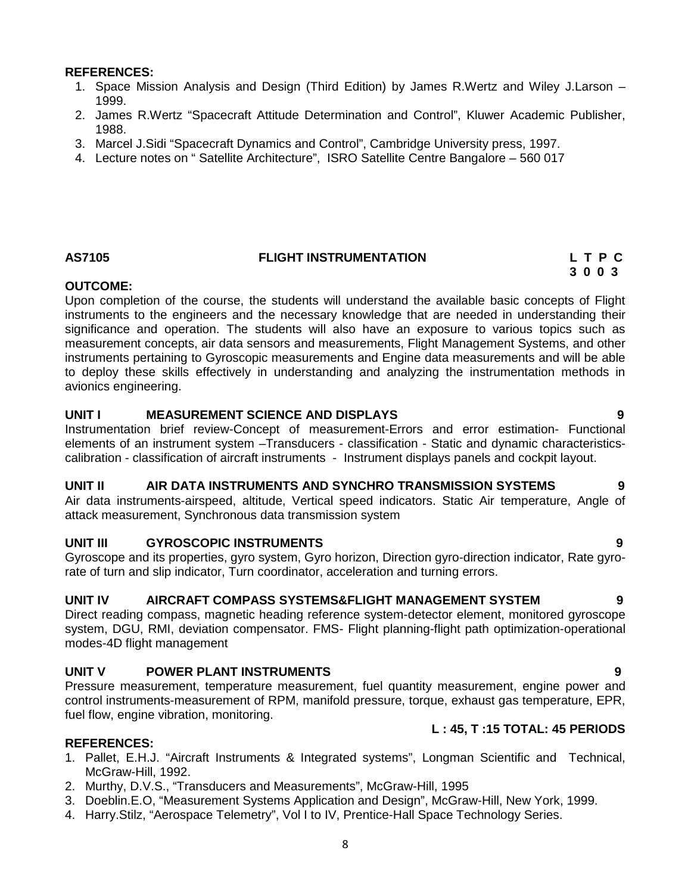## **REFERENCES:**

- 1. Space Mission Analysis and Design (Third Edition) by James R.Wertz and Wiley J.Larson 1999.
- 2. James R.Wertz "Spacecraft Attitude Determination and Control", Kluwer Academic Publisher, 1988.
- 3. Marcel J.Sidi "Spacecraft Dynamics and Control", Cambridge University press, 1997.
- 4. Lecture notes on " Satellite Architecture", ISRO Satellite Centre Bangalore 560 017

## **AS7105 FLIGHT INSTRUMENTATION L T P C**

**3 0 0 3**

## **OUTCOME:**

Upon completion of the course, the students will understand the available basic concepts of Flight instruments to the engineers and the necessary knowledge that are needed in understanding their significance and operation. The students will also have an exposure to various topics such as measurement concepts, air data sensors and measurements, Flight Management Systems, and other instruments pertaining to Gyroscopic measurements and Engine data measurements and will be able to deploy these skills effectively in understanding and analyzing the instrumentation methods in avionics engineering.

## **UNIT I MEASUREMENT SCIENCE AND DISPLAYS 9**

Instrumentation brief review-Concept of measurement-Errors and error estimation- Functional elements of an instrument system –Transducers - classification - Static and dynamic characteristics calibration - classification of aircraft instruments - Instrument displays panels and cockpit layout.

## **UNIT II AIR DATA INSTRUMENTS AND SYNCHRO TRANSMISSION SYSTEMS 9**

Air data instruments-airspeed, altitude, Vertical speed indicators. Static Air temperature, Angle of attack measurement, Synchronous data transmission system

## **UNIT III GYROSCOPIC INSTRUMENTS 9**

Gyroscope and its properties, gyro system, Gyro horizon, Direction gyro-direction indicator, Rate gyrorate of turn and slip indicator, Turn coordinator, acceleration and turning errors.

## **UNIT IV AIRCRAFT COMPASS SYSTEMS&FLIGHT MANAGEMENT SYSTEM 9**

Direct reading compass, magnetic heading reference system-detector element, monitored gyroscope system, DGU, RMI, deviation compensator. FMS- Flight planning-flight path optimization-operational modes-4D flight management

## **UNIT V POWER PLANT INSTRUMENTS 9**

Pressure measurement, temperature measurement, fuel quantity measurement, engine power and control instruments-measurement of RPM, manifold pressure, torque, exhaust gas temperature, EPR, fuel flow, engine vibration, monitoring.

## **L : 45, T :15 TOTAL: 45 PERIODS**

## **REFERENCES:**

- 1. Pallet, E.H.J. "Aircraft Instruments & Integrated systems", Longman Scientific and Technical, McGraw-Hill, 1992.
- 2. Murthy, D.V.S., "Transducers and Measurements", McGraw-Hill, 1995
- 3. Doeblin.E.O, "Measurement Systems Application and Design", McGraw-Hill, New York, 1999.
- 4. Harry.Stilz, "Aerospace Telemetry", Vol I to IV, Prentice-Hall Space Technology Series.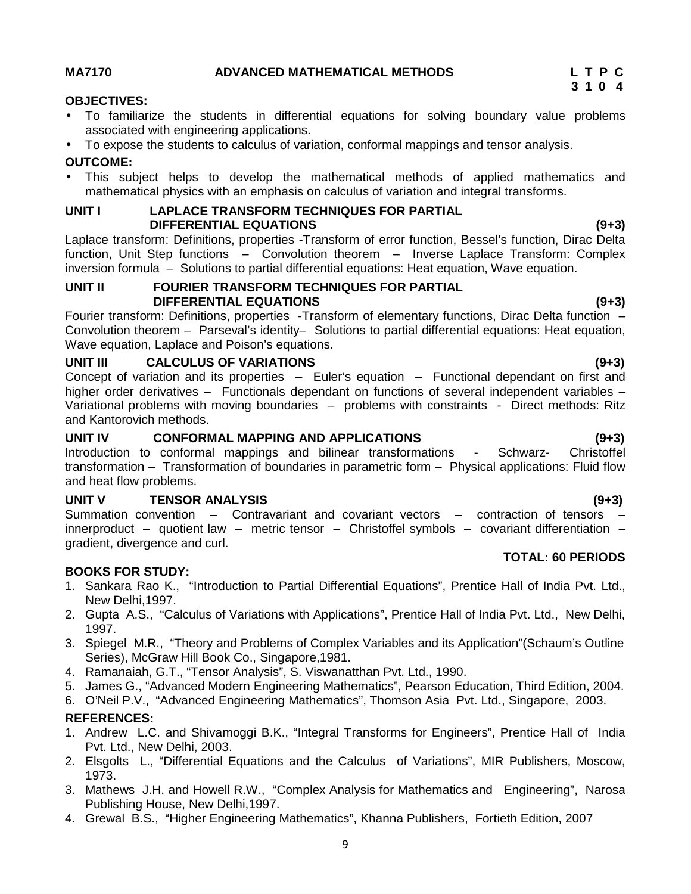## **MA7170 ADVANCED MATHEMATICAL METHODS L T P C**

## **OBJECTIVES:**

 To familiarize the students in differential equations for solving boundary value problems associated with engineering applications.

## To expose the students to calculus of variation, conformal mappings and tensor analysis.

## **OUTCOME:**

 This subject helps to develop the mathematical methods of applied mathematics and mathematical physics with an emphasis on calculus of variation and integral transforms.

## **UNIT I LAPLACE TRANSFORM TECHNIQUES FOR PARTIAL DIFFERENTIAL EQUATIONS (9+3)**

Laplace transform: Definitions, properties -Transform of error function, Bessel's function, Dirac Delta function, Unit Step functions – Convolution theorem – Inverse Laplace Transform: Complex inversion formula – Solutions to partial differential equations: Heat equation, Wave equation.

## **UNIT II FOURIER TRANSFORM TECHNIQUES FOR PARTIAL DIFFERENTIAL EQUATIONS (9+3)**

Fourier transform: Definitions, properties -Transform of elementary functions, Dirac Delta function – Convolution theorem – Parseval's identity– Solutions to partial differential equations: Heat equation, Wave equation, Laplace and Poison's equations.

## **UNIT III CALCULUS OF VARIATIONS (9+3)**

Concept of variation and its properties – Euler's equation – Functional dependant on first and higher order derivatives – Functionals dependant on functions of several independent variables – Variational problems with moving boundaries - problems with constraints - Direct methods: Ritz and Kantorovich methods.

## **UNIT IV CONFORMAL MAPPING AND APPLICATIONS (9+3)**

Introduction to conformal mappings and bilinear transformations - Schwarz- Christoffel transformation – Transformation of boundaries in parametric form – Physical applications: Fluid flow and heat flow problems.

## **UNIT V TENSOR ANALYSIS (9+3)**

Summation convention – Contravariant and covariant vectors – contraction of tensors – innerproduct – quotient law – metric tensor – Christoffel symbols – covariant differentiation – gradient, divergence and curl.

## **BOOKS FOR STUDY:**

- 1. Sankara Rao K., "Introduction to Partial Differential Equations", Prentice Hall of India Pvt. Ltd., New Delhi,1997.
- 2. Gupta A.S., "Calculus of Variations with Applications", Prentice Hall of India Pvt. Ltd., New Delhi, 1997.
- 3. Spiegel M.R., "Theory and Problems of Complex Variables and its Application"(Schaum's Outline Series), McGraw Hill Book Co., Singapore,1981.
- 4. Ramanaiah, G.T., "Tensor Analysis", S. Viswanatthan Pvt. Ltd., 1990.
- 5. James G., "Advanced Modern Engineering Mathematics", Pearson Education, Third Edition, 2004.
- 6. O'Neil P.V., "Advanced Engineering Mathematics", Thomson Asia Pvt. Ltd., Singapore, 2003.

## **REFERENCES:**

- 1. Andrew L.C. and Shivamoggi B.K., "Integral Transforms for Engineers", Prentice Hall of India Pvt. Ltd., New Delhi, 2003.
- 2. Elsgolts L., "Differential Equations and the Calculus of Variations", MIR Publishers, Moscow, 1973.
- 3. Mathews J.H. and Howell R.W., "Complex Analysis for Mathematics and Engineering", Narosa Publishing House, New Delhi,1997.
- 4. Grewal B.S., "Higher Engineering Mathematics", Khanna Publishers, Fortieth Edition, 2007

**TOTAL: 60 PERIODS**

**3 1 0 4**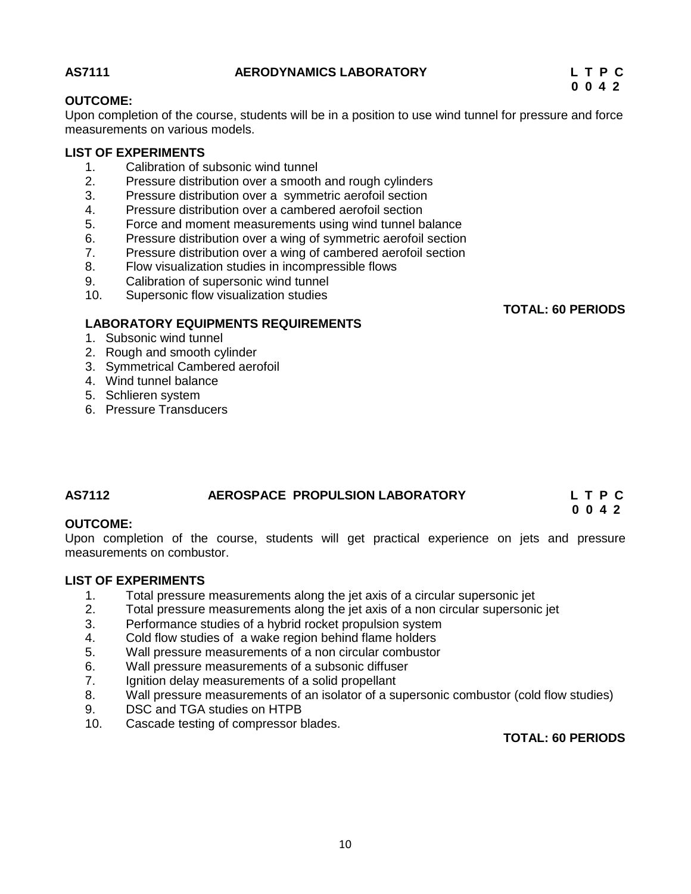## **AS7111 AERODYNAMICS LABORATORY L T P C**

**0 0 4 2**

**TOTAL: 60 PERIODS**

**0 0 4 2**

## **OUTCOME:**

Upon completion of the course, students will be in a position to use wind tunnel for pressure and force measurements on various models.

## **LIST OF EXPERIMENTS**

- 1. Calibration of subsonic wind tunnel
- 2. Pressure distribution over a smooth and rough cylinders
- 3. Pressure distribution over a symmetric aerofoil section
- 4. Pressure distribution over a cambered aerofoil section
- 5. Force and moment measurements using wind tunnel balance
- 6. Pressure distribution over a wing of symmetric aerofoil section
- 7. Pressure distribution over a wing of cambered aerofoil section<br>8. Plow visualization studies in incompressible flows
- Flow visualization studies in incompressible flows
- 9. Calibration of supersonic wind tunnel
- 10. Supersonic flow visualization studies

## **LABORATORY EQUIPMENTS REQUIREMENTS**

- 1. Subsonic wind tunnel
- 2. Rough and smooth cylinder
- 3. Symmetrical Cambered aerofoil
- 4. Wind tunnel balance
- 5. Schlieren system
- 6. Pressure Transducers

## **AS7112 AEROSPACE PROPULSION LABORATORY L T P C**

## **OUTCOME:**

Upon completion of the course, students will get practical experience on jets and pressure measurements on combustor.

# **LIST OF EXPERIMENTS**<br>1. Total pressure

- Total pressure measurements along the jet axis of a circular supersonic jet
- 2. Total pressure measurements along the jet axis of a non circular supersonic jet
- 3. Performance studies of a hybrid rocket propulsion system
- 4. Cold flow studies of a wake region behind flame holders
- 5. Wall pressure measurements of a non circular combustor
- 6. Wall pressure measurements of a subsonic diffuser
- 7. Ignition delay measurements of a solid propellant<br>8. Wall pressure measurements of an isolator of a su
- Wall pressure measurements of an isolator of a supersonic combustor (cold flow studies)
- 9. DSC and TGA studies on HTPB
- 10. Cascade testing of compressor blades.

## **TOTAL: 60 PERIODS**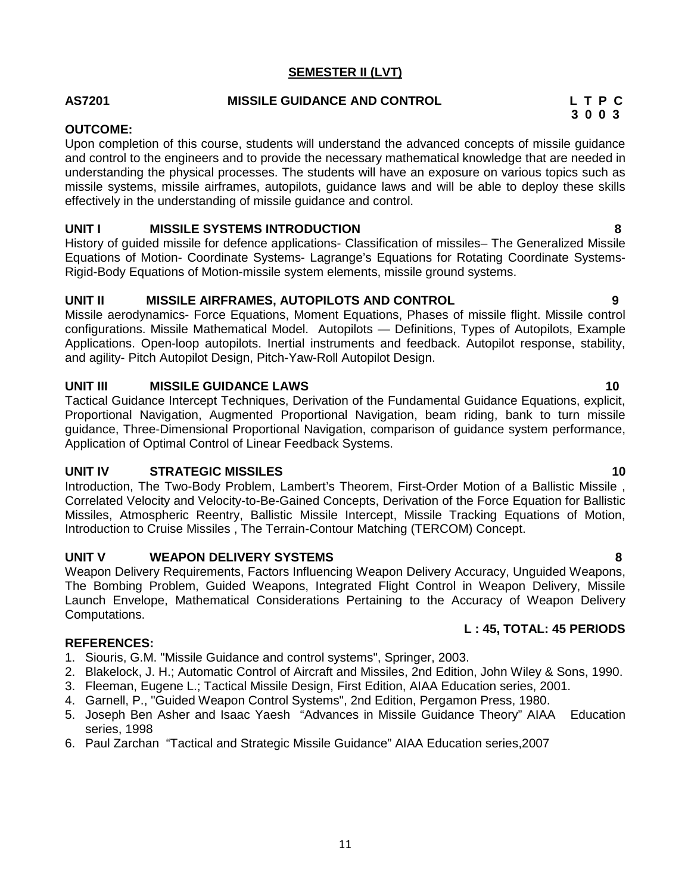## **SEMESTER II (LVT)**

## **AS7201 MISSILE GUIDANCE AND CONTROL L T P C**

## **OUTCOME:**

Upon completion of this course, students will understand the advanced concepts of missile guidance and control to the engineers and to provide the necessary mathematical knowledge that are needed in understanding the physical processes. The students will have an exposure on various topics such as missile systems, missile airframes, autopilots, guidance laws and will be able to deploy these skills effectively in the understanding of missile guidance and control.

## **UNIT I MISSILE SYSTEMS INTRODUCTION 8**

History of guided missile for defence applications- Classification of missiles– The Generalized Missile Equations of Motion- Coordinate Systems- Lagrange's Equations for Rotating Coordinate Systems- Rigid-Body Equations of Motion-missile system elements, missile ground systems.

## **UNIT II MISSILE AIRFRAMES, AUTOPILOTS AND CONTROL 9**

Missile aerodynamics- Force Equations, Moment Equations, Phases of missile flight. Missile control configurations. Missile Mathematical Model. Autopilots — Definitions, Types of Autopilots, Example Applications. Open-loop autopilots. Inertial instruments and feedback. Autopilot response, stability, and agility- Pitch Autopilot Design, Pitch-Yaw-Roll Autopilot Design.

## **UNIT III MISSILE GUIDANCE LAWS 10**

Tactical Guidance Intercept Techniques, Derivation of the Fundamental Guidance Equations, explicit, Proportional Navigation, Augmented Proportional Navigation, beam riding, bank to turn missile guidance, Three-Dimensional Proportional Navigation, comparison of guidance system performance, Application of Optimal Control of Linear Feedback Systems.

## **UNIT IV STRATEGIC MISSILES 10**

Introduction, The Two-Body Problem, Lambert's Theorem, First-Order Motion of a Ballistic Missile , Correlated Velocity and Velocity-to-Be-Gained Concepts, Derivation of the Force Equation for Ballistic Missiles, Atmospheric Reentry, Ballistic Missile Intercept, Missile Tracking Equations of Motion, Introduction to Cruise Missiles , The Terrain-Contour Matching (TERCOM) Concept.

## **UNIT V WEAPON DELIVERY SYSTEMS 8**

Weapon Delivery Requirements, Factors Influencing Weapon Delivery Accuracy, Unguided Weapons, The Bombing Problem, Guided Weapons, Integrated Flight Control in Weapon Delivery, Missile Launch Envelope, Mathematical Considerations Pertaining to the Accuracy of Weapon Delivery Computations.

## **REFERENCES:**

- 1. Siouris, G.M. "Missile Guidance and control systems", Springer, 2003.
- 2. Blakelock, J. H.; Automatic Control of Aircraft and Missiles, 2nd Edition, John Wiley & Sons, 1990.
- 3. Fleeman, Eugene L.; Tactical Missile Design, First Edition, AIAA Education series, 2001.
- 4. Garnell, P., "Guided Weapon Control Systems", 2nd Edition, Pergamon Press, 1980.
- 5. Joseph Ben Asher and Isaac Yaesh "Advances in Missile Guidance Theory" AIAA Education series, 1998
- 6. Paul Zarchan "Tactical and Strategic Missile Guidance" AIAA Education series,2007

**3 0 0 3**

**L : 45, TOTAL: 45 PERIODS**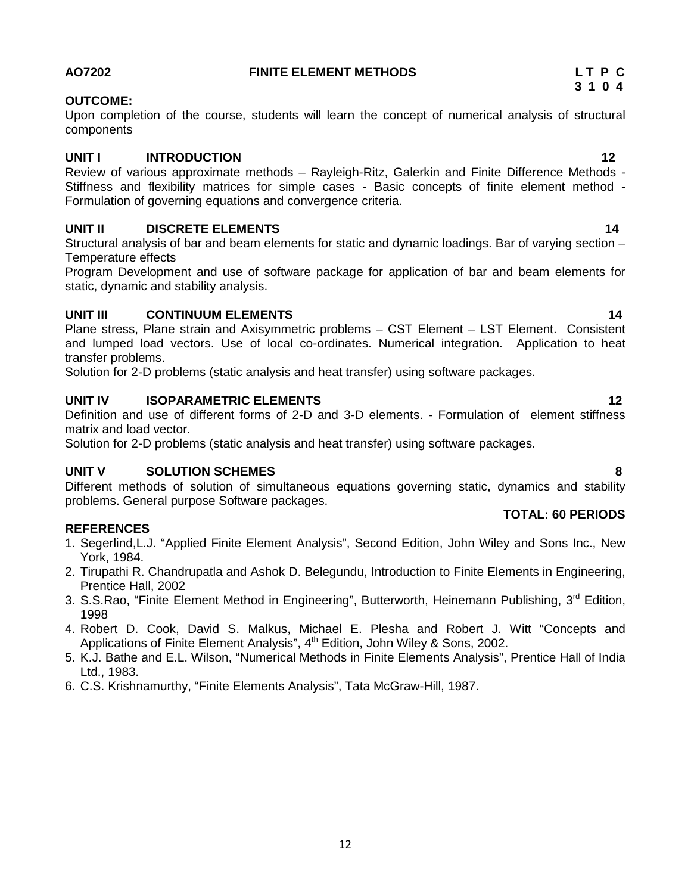## **AO7202 FINITE ELEMENT METHODS L T P C**

## **OUTCOME:**

Upon completion of the course, students will learn the concept of numerical analysis of structural components

## **UNIT I INTRODUCTION 12**

Review of various approximate methods – Rayleigh-Ritz, Galerkin and Finite Difference Methods - Stiffness and flexibility matrices for simple cases - Basic concepts of finite element method - Formulation of governing equations and convergence criteria.

## **UNIT II DISCRETE ELEMENTS 14**

Structural analysis of bar and beam elements for static and dynamic loadings. Bar of varying section – Temperature effects

Program Development and use of software package for application of bar and beam elements for static, dynamic and stability analysis.

## **UNIT III CONTINUUM ELEMENTS 14**

Plane stress, Plane strain and Axisymmetric problems – CST Element – LST Element. Consistent and lumped load vectors. Use of local co-ordinates. Numerical integration. Application to heat transfer problems.

Solution for 2-D problems (static analysis and heat transfer) using software packages.

## **UNIT IV ISOPARAMETRIC ELEMENTS 12**

Definition and use of different forms of 2-D and 3-D elements. - Formulation of element stiffness matrix and load vector.

Solution for 2-D problems (static analysis and heat transfer) using software packages.

## **UNIT V SOLUTION SCHEMES 8**

Different methods of solution of simultaneous equations governing static, dynamics and stability problems. General purpose Software packages.

## **REFERENCES**

- 1. Segerlind,L.J. "Applied Finite Element Analysis", Second Edition, John Wiley and Sons Inc., New York, 1984.
- 2. Tirupathi R. Chandrupatla and Ashok D. Belegundu, Introduction to Finite Elements in Engineering, Prentice Hall, 2002
- 3. S.S.Rao, "Finite Element Method in Engineering", Butterworth, Heinemann Publishing, 3<sup>rd</sup> Edition, 1998
- 4. Robert D. Cook, David S. Malkus, Michael E. Plesha and Robert J. Witt "Concepts and Applications of Finite Element Analysis",  $4<sup>th</sup>$  Edition, John Wiley & Sons, 2002.
- 5. K.J. Bathe and E.L. Wilson, "Numerical Methods in Finite Elements Analysis", Prentice Hall of India Ltd., 1983.
- 6. C.S. Krishnamurthy, "Finite Elements Analysis", Tata McGraw-Hill, 1987.



**TOTAL: 60 PERIODS**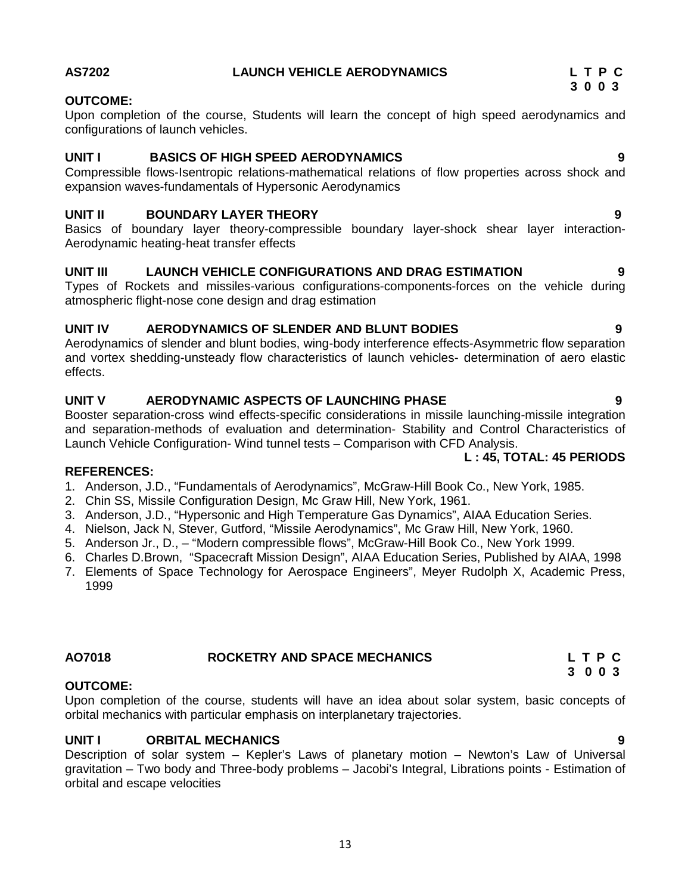## **AS7202 LAUNCH VEHICLE AERODYNAMICS L T P C**

## **OUTCOME:**

Upon completion of the course, Students will learn the concept of high speed aerodynamics and configurations of launch vehicles.

## **UNIT I BASICS OF HIGH SPEED AERODYNAMICS 9**

Compressible flows-Isentropic relations-mathematical relations of flow properties across shock and expansion waves-fundamentals of Hypersonic Aerodynamics

## **UNIT II BOUNDARY LAYER THEORY 9**

Basics of boundary layer theory-compressible boundary layer-shock shear layer interaction- Aerodynamic heating-heat transfer effects

## **UNIT III LAUNCH VEHICLE CONFIGURATIONS AND DRAG ESTIMATION 9**

Types of Rockets and missiles-various configurations-components-forces on the vehicle during atmospheric flight-nose cone design and drag estimation

## **UNIT IV AERODYNAMICS OF SLENDER AND BLUNT BODIES 9**

Aerodynamics of slender and blunt bodies, wing-body interference effects-Asymmetric flow separation and vortex shedding-unsteady flow characteristics of launch vehicles- determination of aero elastic effects.

## **UNIT V AERODYNAMIC ASPECTS OF LAUNCHING PHASE 9**

Booster separation-cross wind effects-specific considerations in missile launching-missile integration and separation-methods of evaluation and determination- Stability and Control Characteristics of Launch Vehicle Configuration- Wind tunnel tests – Comparison with CFD Analysis.

## **L : 45, TOTAL: 45 PERIODS**

## **REFERENCES:**

1. Anderson, J.D., "Fundamentals of Aerodynamics", McGraw-Hill Book Co., New York, 1985.

- 2. Chin SS, Missile Configuration Design, Mc Graw Hill, New York, 1961.
- 3. Anderson, J.D., "Hypersonic and High Temperature Gas Dynamics", AIAA Education Series.
- 4. Nielson, Jack N, Stever, Gutford, "Missile Aerodynamics", Mc Graw Hill, New York, 1960.
- 5. Anderson Jr., D., "Modern compressible flows", McGraw-Hill Book Co., New York 1999.
- 6. Charles D.Brown, "Spacecraft Mission Design", AIAA Education Series, Published by AIAA, 1998
- 7. Elements of Space Technology for Aerospace Engineers", Meyer Rudolph X, Academic Press, 1999

## **OUTCOME:**

Upon completion of the course, students will have an idea about solar system, basic concepts of orbital mechanics with particular emphasis on interplanetary trajectories.

## **UNIT I ORBITAL MECHANICS 9**

Description of solar system – Kepler's Laws of planetary motion – Newton's Law of Universal gravitation – Two body and Three-body problems – Jacobi's Integral, Librations points - Estimation of orbital and escape velocities

**AO7018 ROCKETRY AND SPACE MECHANICS L T P C 3 0 0 3**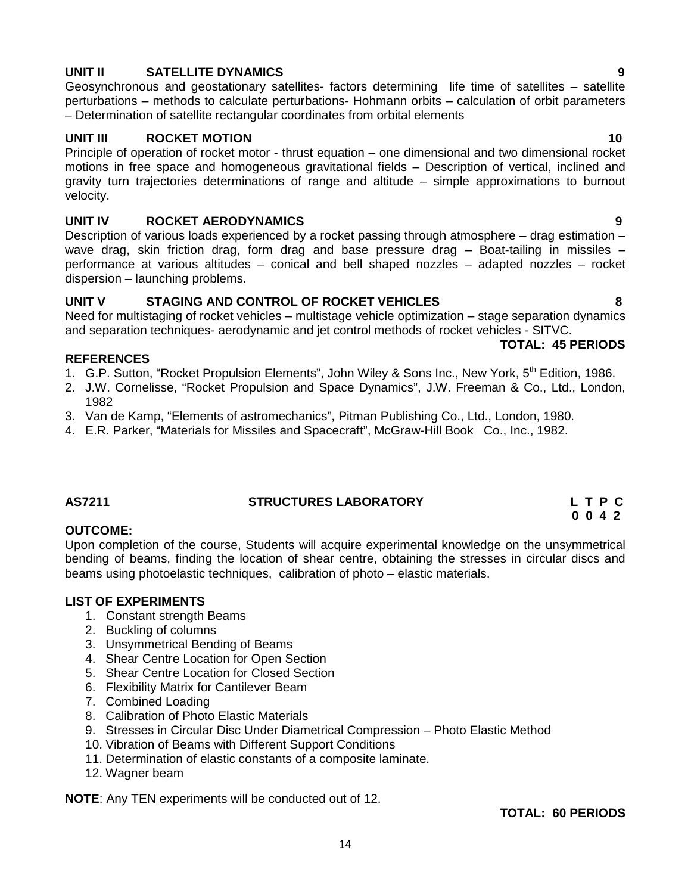## **UNIT II SATELLITE DYNAMICS 9**

Geosynchronous and geostationary satellites- factors determining life time of satellites – satellite perturbations – methods to calculate perturbations- Hohmann orbits – calculation of orbit parameters – Determination of satellite rectangular coordinates from orbital elements

## **UNIT III ROCKET MOTION 10**

Principle of operation of rocket motor - thrust equation – one dimensional and two dimensional rocket motions in free space and homogeneous gravitational fields – Description of vertical, inclined and gravity turn trajectories determinations of range and altitude – simple approximations to burnout velocity.

## **UNIT IV ROCKET AERODYNAMICS 9**

Description of various loads experienced by a rocket passing through atmosphere – drag estimation – wave drag, skin friction drag, form drag and base pressure drag - Boat-tailing in missiles performance at various altitudes – conical and bell shaped nozzles – adapted nozzles – rocket dispersion – launching problems.

## **UNIT V STAGING AND CONTROL OF ROCKET VEHICLES 8**

Need for multistaging of rocket vehicles – multistage vehicle optimization – stage separation dynamics and separation techniques- aerodynamic and jet control methods of rocket vehicles - SITVC.

## **TOTAL: 45 PERIODS**

- **REFERENCES** 1. G.P. Sutton, "Rocket Propulsion Elements", John Wiley & Sons Inc., New York, 5<sup>th</sup> Edition, 1986.
- 2. J.W. Cornelisse, "Rocket Propulsion and Space Dynamics", J.W. Freeman & Co., Ltd., London, 1982
- 3. Van de Kamp, "Elements of astromechanics", Pitman Publishing Co., Ltd., London, 1980.
- 4. E.R. Parker, "Materials for Missiles and Spacecraft", McGraw-Hill Book Co., Inc., 1982.

## **AS7211 STRUCTURES LABORATORY L T P C**

# **0 0 4 2**

## **OUTCOME:**

Upon completion of the course, Students will acquire experimental knowledge on the unsymmetrical bending of beams, finding the location of shear centre, obtaining the stresses in circular discs and beams using photoelastic techniques, calibration of photo – elastic materials.

## **LIST OF EXPERIMENTS**

- 1. Constant strength Beams
- 2. Buckling of columns
- 3. Unsymmetrical Bending of Beams
- 4. Shear Centre Location for Open Section
- 5. Shear Centre Location for Closed Section
- 6. Flexibility Matrix for Cantilever Beam
- 7. Combined Loading
- 8. Calibration of Photo Elastic Materials
- 9. Stresses in Circular Disc Under Diametrical Compression Photo Elastic Method

14

- 10. Vibration of Beams with Different Support Conditions
- 11. Determination of elastic constants of a composite laminate.
- 12. Wagner beam

**NOTE**: Any TEN experiments will be conducted out of 12.

## **TOTAL: 60 PERIODS**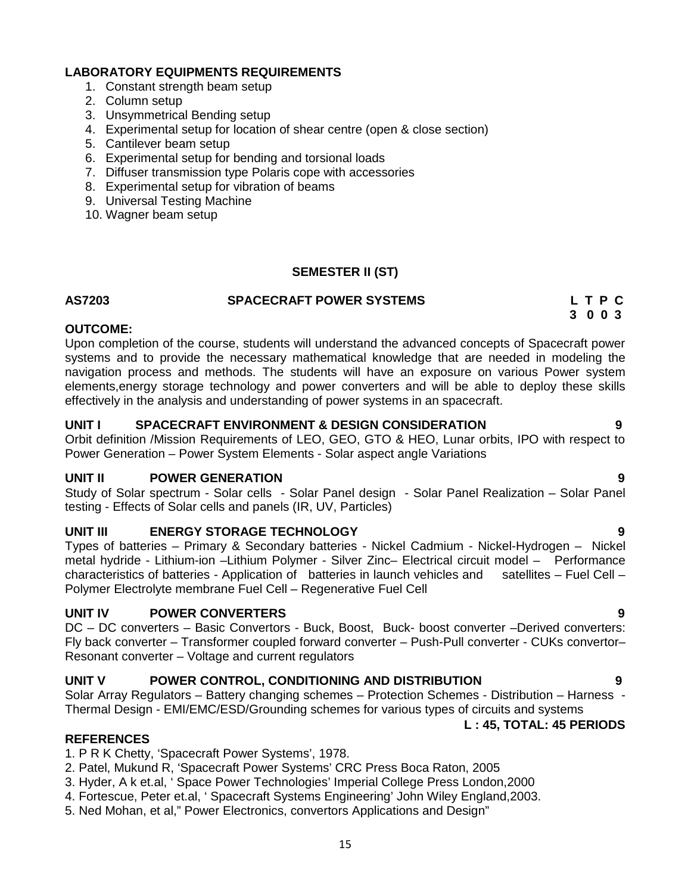## **LABORATORY EQUIPMENTS REQUIREMENTS**

- 1. Constant strength beam setup
- 2. Column setup
- 3. Unsymmetrical Bending setup
- 4. Experimental setup for location of shear centre (open & close section)
- 5. Cantilever beam setup
- 6. Experimental setup for bending and torsional loads
- 7. Diffuser transmission type Polaris cope with accessories
- 8. Experimental setup for vibration of beams
- 9. Universal Testing Machine
- 10. Wagner beam setup

## **SEMESTER II (ST)**

## **AS7203 SPACECRAFT POWER SYSTEMS L T P C**

**3 0 0 3**

## **OUTCOME:**

Upon completion of the course, students will understand the advanced concepts of Spacecraft power systems and to provide the necessary mathematical knowledge that are needed in modeling the navigation process and methods. The students will have an exposure on various Power system elements,energy storage technology and power converters and will be able to deploy these skills effectively in the analysis and understanding of power systems in an spacecraft.

## **UNIT I SPACECRAFT ENVIRONMENT & DESIGN CONSIDERATION 9**

Orbit definition /Mission Requirements of LEO, GEO, GTO & HEO, Lunar orbits, IPO with respect to Power Generation – Power System Elements - Solar aspect angle Variations

## **UNIT II POWER GENERATION 9**

Study of Solar spectrum - Solar cells - Solar Panel design - Solar Panel Realization – Solar Panel testing - Effects of Solar cells and panels (IR, UV, Particles)

## **UNIT III ENERGY STORAGE TECHNOLOGY 9**

Types of batteries – Primary & Secondary batteries - Nickel Cadmium - Nickel-Hydrogen – Nickel metal hydride - Lithium-ion –Lithium Polymer - Silver Zinc– Electrical circuit model – Performance characteristics of batteries - Application of batteries in launch vehicles and satellites – Fuel Cell – Polymer Electrolyte membrane Fuel Cell – Regenerative Fuel Cell

## **UNIT IV POWER CONVERTERS 9**

DC – DC converters – Basic Convertors - Buck, Boost, Buck- boost converter –Derived converters: Fly back converter – Transformer coupled forward converter – Push-Pull converter - CUKs convertor– Resonant converter – Voltage and current regulators

## **UNIT V POWER CONTROL, CONDITIONING AND DISTRIBUTION 9**

Solar Array Regulators – Battery changing schemes – Protection Schemes - Distribution – Harness - Thermal Design - EMI/EMC/ESD/Grounding schemes for various types of circuits and systems

## **L : 45, TOTAL: 45 PERIODS**

## **REFERENCES**

- 1. P R K Chetty, 'Spacecraft Power Systems', 1978.
- 2. Patel, Mukund R, 'Spacecraft Power Systems' CRC Press Boca Raton, 2005
- 3. Hyder, A k et.al, ' Space Power Technologies' Imperial College Press London,2000
- 4. Fortescue, Peter et.al, ' Spacecraft Systems Engineering' John Wiley England,2003.
- 5. Ned Mohan, et al," Power Electronics, convertors Applications and Design"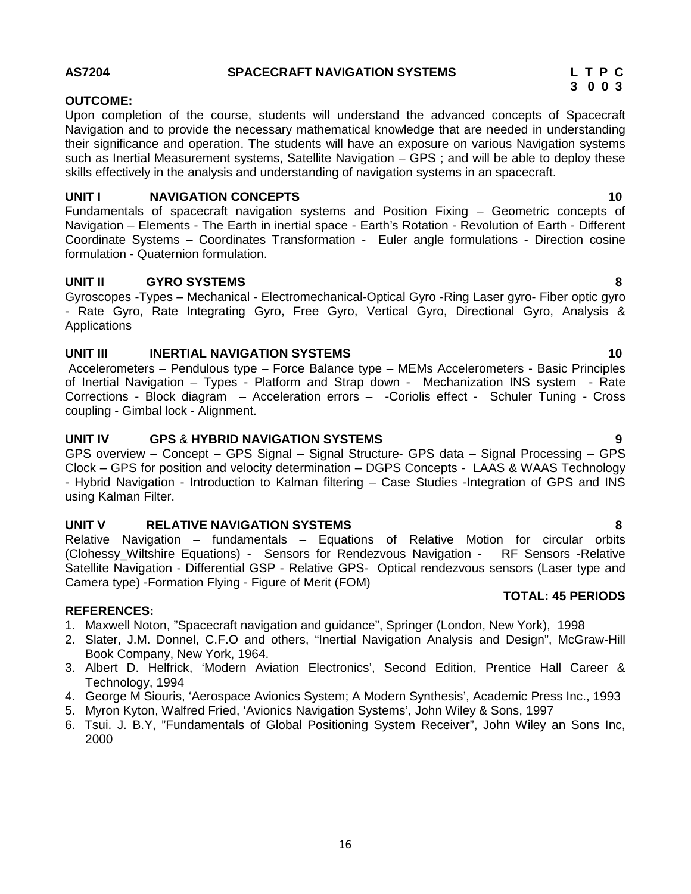## 16

## **AS7204 SPACECRAFT NAVIGATION SYSTEMS L T P C**

## **OUTCOME:**

Upon completion of the course, students will understand the advanced concepts of Spacecraft Navigation and to provide the necessary mathematical knowledge that are needed in understanding their significance and operation. The students will have an exposure on various Navigation systems such as Inertial Measurement systems, Satellite Navigation – GPS ; and will be able to deploy these skills effectively in the analysis and understanding of navigation systems in an spacecraft.

## **UNIT I NAVIGATION CONCEPTS 10**

Fundamentals of spacecraft navigation systems and Position Fixing – Geometric concepts of Navigation – Elements - The Earth in inertial space - Earth's Rotation - Revolution of Earth - Different Coordinate Systems – Coordinates Transformation - Euler angle formulations - Direction cosine formulation - Quaternion formulation.

## **UNIT II GYRO SYSTEMS 8**

Gyroscopes -Types – Mechanical - Electromechanical-Optical Gyro -Ring Laser gyro- Fiber optic gyro - Rate Gyro, Rate Integrating Gyro, Free Gyro, Vertical Gyro, Directional Gyro, Analysis & Applications

## **UNIT III INERTIAL NAVIGATION SYSTEMS 10**

Accelerometers – Pendulous type – Force Balance type – MEMs Accelerometers - Basic Principles of Inertial Navigation – Types - Platform and Strap down - Mechanization INS system - Rate Corrections - Block diagram – Acceleration errors – -Coriolis effect - Schuler Tuning - Cross coupling - Gimbal lock - Alignment.

## **UNIT IV GPS** & **HYBRID NAVIGATION SYSTEMS 9**

GPS overview – Concept – GPS Signal – Signal Structure- GPS data – Signal Processing – GPS Clock – GPS for position and velocity determination – DGPS Concepts - LAAS & WAAS Technology - Hybrid Navigation - Introduction to Kalman filtering – Case Studies -Integration of GPS and INS using Kalman Filter.

## **UNIT V RELATIVE NAVIGATION SYSTEMS 8**

Relative Navigation – fundamentals – Equations of Relative Motion for circular orbits (Clohessy\_Wiltshire Equations) - Sensors for Rendezvous Navigation - RF Sensors -Relative Satellite Navigation - Differential GSP - Relative GPS- Optical rendezvous sensors (Laser type and Camera type) -Formation Flying - Figure of Merit (FOM)

## **REFERENCES:**

- 1. Maxwell Noton, "Spacecraft navigation and guidance", Springer (London, New York), 1998
- 2. Slater, J.M. Donnel, C.F.O and others, "Inertial Navigation Analysis and Design", McGraw-Hill Book Company, New York, 1964.
- 3. Albert D. Helfrick, 'Modern Aviation Electronics', Second Edition, Prentice Hall Career & Technology, 1994
- 4. George M Siouris, 'Aerospace Avionics System; A Modern Synthesis', Academic Press Inc., 1993
- 5. Myron Kyton, Walfred Fried, 'Avionics Navigation Systems', John Wiley & Sons, 1997
- 6. Tsui. J. B.Y, "Fundamentals of Global Positioning System Receiver", John Wiley an Sons Inc, 2000

# **3 0 0 3**

# **TOTAL: 45 PERIODS**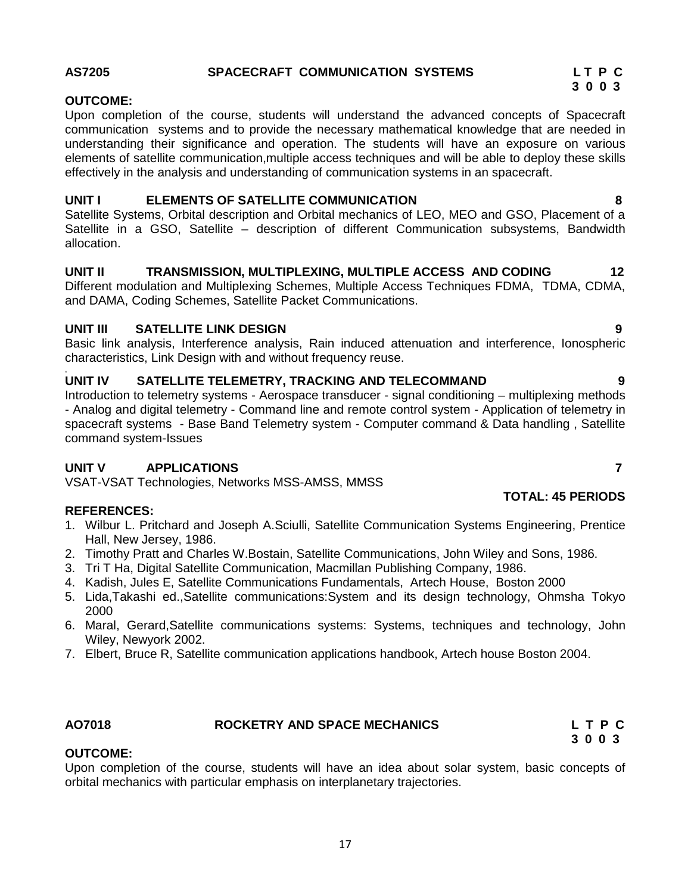## **AS7205 SPACECRAFT COMMUNICATION SYSTEMS L T P C**

## **OUTCOME:**

Upon completion of the course, students will understand the advanced concepts of Spacecraft communication systems and to provide the necessary mathematical knowledge that are needed in understanding their significance and operation. The students will have an exposure on various elements of satellite communication,multiple access techniques and will be able to deploy these skills effectively in the analysis and understanding of communication systems in an spacecraft.

## **UNIT I ELEMENTS OF SATELLITE COMMUNICATION 8**

Satellite Systems, Orbital description and Orbital mechanics of LEO, MEO and GSO, Placement of a Satellite in a GSO, Satellite – description of different Communication subsystems, Bandwidth allocation.

## **UNIT II TRANSMISSION, MULTIPLEXING, MULTIPLE ACCESS AND CODING 12**

Different modulation and Multiplexing Schemes, Multiple Access Techniques FDMA, TDMA, CDMA, and DAMA, Coding Schemes, Satellite Packet Communications.

## **UNIT III SATELLITE LINK DESIGN 9**

Basic link analysis, Interference analysis, Rain induced attenuation and interference, Ionospheric characteristics, Link Design with and without frequency reuse.

## **UNIT IV SATELLITE TELEMETRY, TRACKING AND TELECOMMAND**  $\qquad \qquad \qquad$ **9**

Introduction to telemetry systems - Aerospace transducer - signal conditioning – multiplexing methods - Analog and digital telemetry - Command line and remote control system - Application of telemetry in spacecraft systems - Base Band Telemetry system - Computer command & Data handling , Satellite command system-Issues

## **UNIT V APPLICATIONS 7**

VSAT-VSAT Technologies, Networks MSS-AMSS, MMSS

## **REFERENCES:**

- 1. Wilbur L. Pritchard and Joseph A.Sciulli, Satellite Communication Systems Engineering, Prentice Hall, New Jersey, 1986.
- 2. Timothy Pratt and Charles W.Bostain, Satellite Communications, John Wiley and Sons, 1986.
- 3. Tri T Ha, Digital Satellite Communication, Macmillan Publishing Company, 1986.
- 4. Kadish, Jules E, Satellite Communications Fundamentals, Artech House, Boston 2000
- 5. Lida,Takashi ed.,Satellite communications:System and its design technology, Ohmsha Tokyo 2000
- 6. Maral, Gerard,Satellite communications systems: Systems, techniques and technology, John Wiley, Newyork 2002.
- 7. Elbert, Bruce R, Satellite communication applications handbook, Artech house Boston 2004.

## **AO7018 ROCKETRY AND SPACE MECHANICS L T P C**

## **OUTCOME:**

Upon completion of the course, students will have an idea about solar system, basic concepts of orbital mechanics with particular emphasis on interplanetary trajectories.

**3 0 0 3**

## **TOTAL: 45 PERIODS**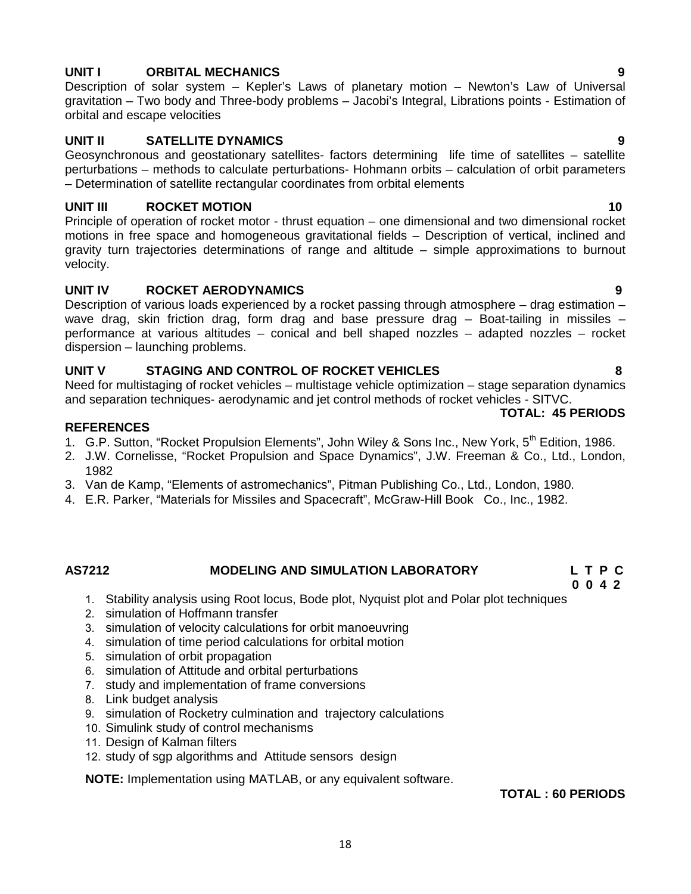## **UNIT I ORBITAL MECHANICS 9**

Description of solar system – Kepler's Laws of planetary motion – Newton's Law of Universal gravitation – Two body and Three-body problems – Jacobi's Integral, Librations points - Estimation of orbital and escape velocities

## **UNIT II SATELLITE DYNAMICS 9**

Geosynchronous and geostationary satellites- factors determining life time of satellites – satellite perturbations – methods to calculate perturbations- Hohmann orbits – calculation of orbit parameters – Determination of satellite rectangular coordinates from orbital elements

## **UNIT III ROCKET MOTION 10**

Principle of operation of rocket motor - thrust equation – one dimensional and two dimensional rocket motions in free space and homogeneous gravitational fields – Description of vertical, inclined and gravity turn trajectories determinations of range and altitude – simple approximations to burnout velocity.

## **UNIT IV ROCKET AERODYNAMICS 9**

Description of various loads experienced by a rocket passing through atmosphere – drag estimation – wave drag, skin friction drag, form drag and base pressure drag  $-$  Boat-tailing in missiles  $$ performance at various altitudes – conical and bell shaped nozzles – adapted nozzles – rocket dispersion – launching problems.

## **UNIT V STAGING AND CONTROL OF ROCKET VEHICLES 8**

Need for multistaging of rocket vehicles – multistage vehicle optimization – stage separation dynamics and separation techniques- aerodynamic and jet control methods of rocket vehicles - SITVC.

## **REFERENCES**

- 1. G.P. Sutton, "Rocket Propulsion Elements", John Wiley & Sons Inc., New York, 5<sup>th</sup> Edition, 1986.
- 2. J.W. Cornelisse, "Rocket Propulsion and Space Dynamics", J.W. Freeman & Co., Ltd., London, 1982
- 3. Van de Kamp, "Elements of astromechanics", Pitman Publishing Co., Ltd., London, 1980.
- 4. E.R. Parker, "Materials for Missiles and Spacecraft", McGraw-Hill Book Co., Inc., 1982.

## **AS7212 MODELING AND SIMULATION LABORATORY L T P C**

- 1. Stability analysis using Root locus, Bode plot, Nyquist plot and Polar plot techniques
- 2. simulation of Hoffmann transfer
- 3. simulation of velocity calculations for orbit manoeuvring
- 4. simulation of time period calculations for orbital motion
- 5. simulation of orbit propagation
- 6. simulation of Attitude and orbital perturbations
- 7. study and implementation of frame conversions
- 8. Link budget analysis
- 9. simulation of Rocketry culmination and trajectory calculations
- 10. Simulink study of control mechanisms
- 11. Design of Kalman filters
- 12. study of sgp algorithms and Attitude sensors design

**NOTE:** Implementation using MATLAB, or any equivalent software.

## **TOTAL : 60 PERIODS**

## **TOTAL: 45 PERIODS**

## **0 0 4 2**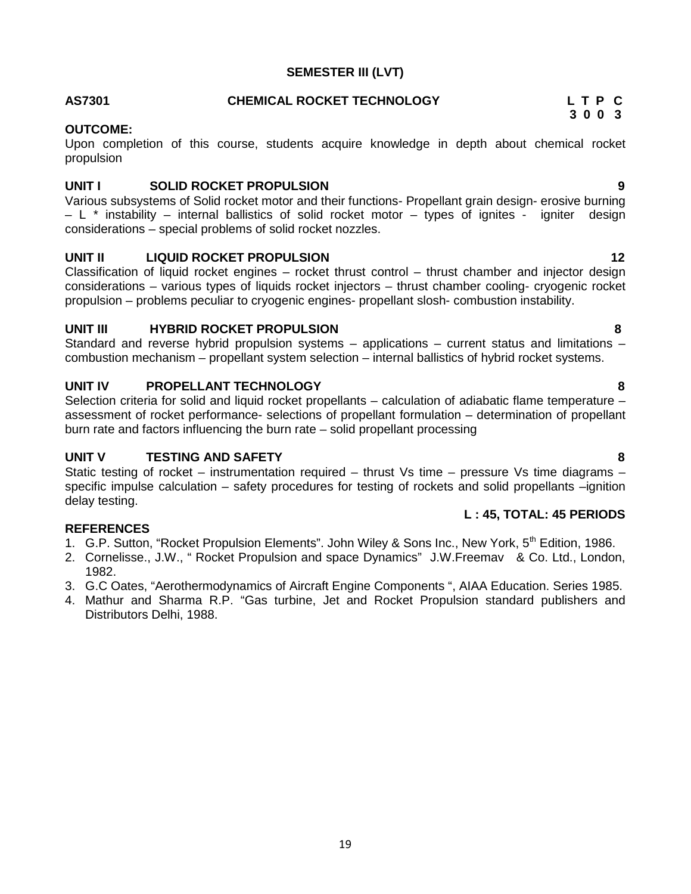## **SEMESTER III (LVT)**

## **AS7301 CHEMICAL ROCKET TECHNOLOGY L T P C**

## **OUTCOME:**

Upon completion of this course, students acquire knowledge in depth about chemical rocket propulsion

## **UNIT I SOLID ROCKET PROPULSION 9**

Various subsystems of Solid rocket motor and their functions- Propellant grain design- erosive burning – L \* instability – internal ballistics of solid rocket motor – types of ignites - igniter design considerations – special problems of solid rocket nozzles.

## **UNIT II LIQUID ROCKET PROPULSION 12**

Classification of liquid rocket engines – rocket thrust control – thrust chamber and injector design considerations – various types of liquids rocket injectors – thrust chamber cooling- cryogenic rocket propulsion – problems peculiar to cryogenic engines- propellant slosh- combustion instability.

## **UNIT III HYBRID ROCKET PROPULSION 8**

Standard and reverse hybrid propulsion systems – applications – current status and limitations – combustion mechanism – propellant system selection – internal ballistics of hybrid rocket systems.

## **UNIT IV PROPELLANT TECHNOLOGY 8**

Selection criteria for solid and liquid rocket propellants – calculation of adiabatic flame temperature – assessment of rocket performance- selections of propellant formulation – determination of propellant burn rate and factors influencing the burn rate – solid propellant processing

## **UNIT V TESTING AND SAFETY 8**

Static testing of rocket – instrumentation required – thrust Vs time – pressure Vs time diagrams – specific impulse calculation – safety procedures for testing of rockets and solid propellants –ignition delay testing.

## **REFERENCES**

- 1. G.P. Sutton, "Rocket Propulsion Elements". John Wiley & Sons Inc., New York, 5<sup>th</sup> Edition, 1986.
- 2. Cornelisse., J.W., " Rocket Propulsion and space Dynamics" J.W.Freemav & Co. Ltd., London, 1982.
- 3. G.C Oates, "Aerothermodynamics of Aircraft Engine Components ", AIAA Education. Series 1985.
- 4. Mathur and Sharma R.P. "Gas turbine, Jet and Rocket Propulsion standard publishers and Distributors Delhi, 1988.

**3 0 0 3**

## **L : 45, TOTAL: 45 PERIODS**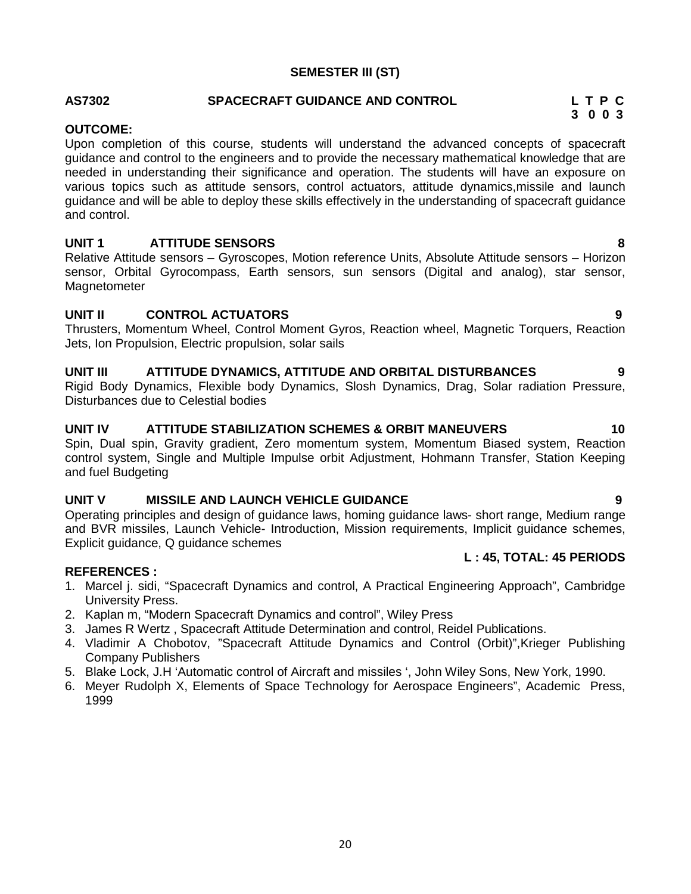## 20

# **AS7302 SPACECRAFT GUIDANCE AND CONTROL L T P C**

## **OUTCOME:**

Upon completion of this course, students will understand the advanced concepts of spacecraft guidance and control to the engineers and to provide the necessary mathematical knowledge that are needed in understanding their significance and operation. The students will have an exposure on various topics such as attitude sensors, control actuators, attitude dynamics,missile and launch guidance and will be able to deploy these skills effectively in the understanding of spacecraft guidance and control.

**SEMESTER III (ST)**

## **UNIT 1 ATTITUDE SENSORS 8**

Relative Attitude sensors – Gyroscopes, Motion reference Units, Absolute Attitude sensors – Horizon sensor, Orbital Gyrocompass, Earth sensors, sun sensors (Digital and analog), star sensor, **Magnetometer** 

## **UNIT II CONTROL ACTUATORS 9**

Thrusters, Momentum Wheel, Control Moment Gyros, Reaction wheel, Magnetic Torquers, Reaction Jets, Ion Propulsion, Electric propulsion, solar sails

## **UNIT III ATTITUDE DYNAMICS, ATTITUDE AND ORBITAL DISTURBANCES 9**

Rigid Body Dynamics, Flexible body Dynamics, Slosh Dynamics, Drag, Solar radiation Pressure, Disturbances due to Celestial bodies

## **UNIT IV ATTITUDE STABILIZATION SCHEMES & ORBIT MANEUVERS 10**

Spin, Dual spin, Gravity gradient, Zero momentum system, Momentum Biased system, Reaction control system, Single and Multiple Impulse orbit Adjustment, Hohmann Transfer, Station Keeping and fuel Budgeting

## **UNIT V MISSILE AND LAUNCH VEHICLE GUIDANCE 9**

Operating principles and design of guidance laws, homing guidance laws- short range, Medium range and BVR missiles, Launch Vehicle- Introduction, Mission requirements, Implicit guidance schemes, Explicit guidance, Q guidance schemes

## **REFERENCES :**

- 1. Marcel j. sidi, "Spacecraft Dynamics and control, A Practical Engineering Approach", Cambridge University Press.
- 2. Kaplan m, "Modern Spacecraft Dynamics and control", Wiley Press
- 3. James R Wertz , Spacecraft Attitude Determination and control, Reidel Publications.
- 4. Vladimir A Chobotov, "Spacecraft Attitude Dynamics and Control (Orbit)",Krieger Publishing Company Publishers
- 5. Blake Lock, J.H 'Automatic control of Aircraft and missiles ', John Wiley Sons, New York, 1990.
- 6. Meyer Rudolph X, Elements of Space Technology for Aerospace Engineers", Academic Press, 1999

**L : 45, TOTAL: 45 PERIODS**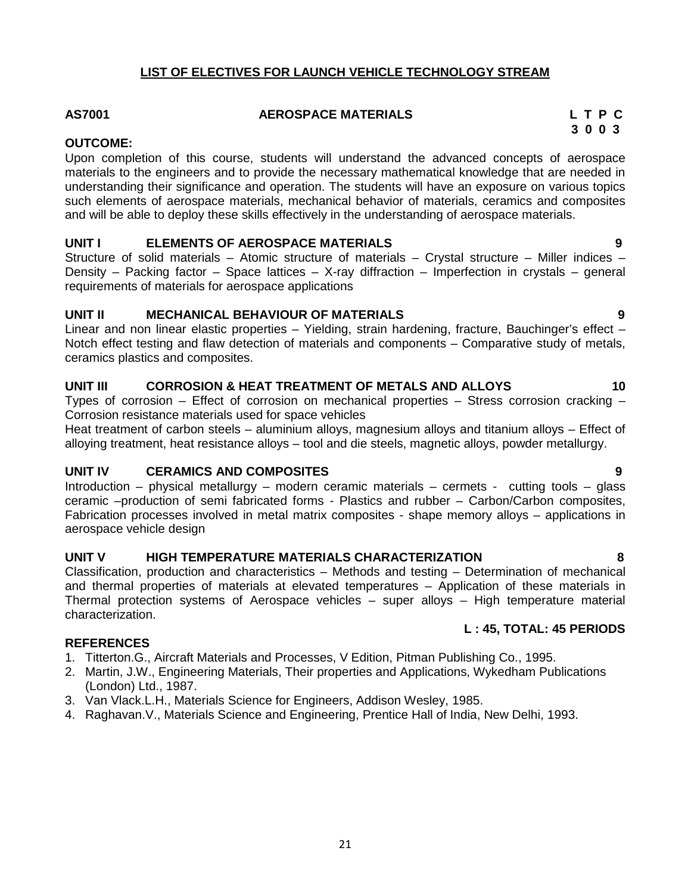## **LIST OF ELECTIVES FOR LAUNCH VEHICLE TECHNOLOGY STREAM**

## **AS7001 AEROSPACE MATERIALS L T P C**

## **OUTCOME:**

Upon completion of this course, students will understand the advanced concepts of aerospace materials to the engineers and to provide the necessary mathematical knowledge that are needed in understanding their significance and operation. The students will have an exposure on various topics such elements of aerospace materials, mechanical behavior of materials, ceramics and composites and will be able to deploy these skills effectively in the understanding of aerospace materials.

## **UNIT I ELEMENTS OF AEROSPACE MATERIALS 9**

Structure of solid materials – Atomic structure of materials – Crystal structure – Miller indices – Density – Packing factor – Space lattices – X-ray diffraction – Imperfection in crystals – general requirements of materials for aerospace applications

## **UNIT II MECHANICAL BEHAVIOUR OF MATERIALS 9**

Linear and non linear elastic properties – Yielding, strain hardening, fracture, Bauchinger's effect – Notch effect testing and flaw detection of materials and components – Comparative study of metals, ceramics plastics and composites.

## **UNIT III CORROSION & HEAT TREATMENT OF METALS AND ALLOYS 10**

Types of corrosion – Effect of corrosion on mechanical properties – Stress corrosion cracking – Corrosion resistance materials used for space vehicles

Heat treatment of carbon steels – aluminium alloys, magnesium alloys and titanium alloys – Effect of alloying treatment, heat resistance alloys – tool and die steels, magnetic alloys, powder metallurgy.

## **UNIT IV CERAMICS AND COMPOSITES 9**

Introduction – physical metallurgy – modern ceramic materials – cermets - cutting tools – glass ceramic –production of semi fabricated forms - Plastics and rubber – Carbon/Carbon composites, Fabrication processes involved in metal matrix composites - shape memory alloys – applications in aerospace vehicle design

## **UNIT V HIGH TEMPERATURE MATERIALS CHARACTERIZATION 8**

Classification, production and characteristics – Methods and testing – Determination of mechanical and thermal properties of materials at elevated temperatures – Application of these materials in Thermal protection systems of Aerospace vehicles – super alloys – High temperature material characterization.

## **REFERENCES**

- 1. Titterton.G., Aircraft Materials and Processes, V Edition, Pitman Publishing Co., 1995.
- 2. Martin, J.W., Engineering Materials, Their properties and Applications, Wykedham Publications (London) Ltd., 1987.
- 3. Van Vlack.L.H., Materials Science for Engineers, Addison Wesley, 1985.
- 4. Raghavan.V., Materials Science and Engineering, Prentice Hall of India, New Delhi, 1993.

**L : 45, TOTAL: 45 PERIODS**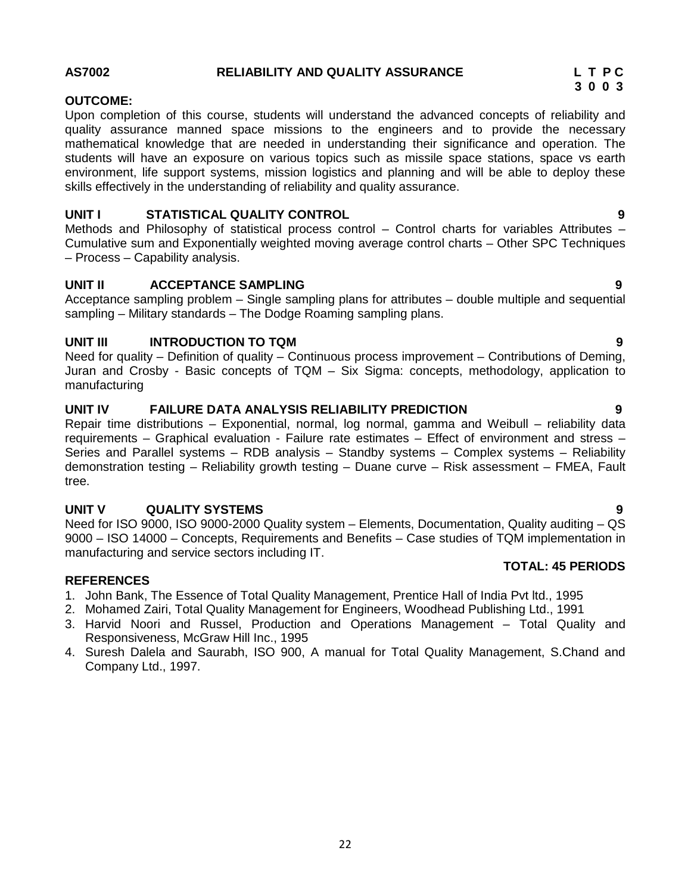## **AS7002 RELIABILITY AND QUALITY ASSURANCE L T P C**

## **OUTCOME:**

Upon completion of this course, students will understand the advanced concepts of reliability and quality assurance manned space missions to the engineers and to provide the necessary mathematical knowledge that are needed in understanding their significance and operation. The students will have an exposure on various topics such as missile space stations, space vs earth environment, life support systems, mission logistics and planning and will be able to deploy these skills effectively in the understanding of reliability and quality assurance.

## **UNIT I STATISTICAL QUALITY CONTROL 9**

Methods and Philosophy of statistical process control – Control charts for variables Attributes – Cumulative sum and Exponentially weighted moving average control charts – Other SPC Techniques – Process – Capability analysis.

## **UNIT II ACCEPTANCE SAMPLING 9**

Acceptance sampling problem – Single sampling plans for attributes – double multiple and sequential sampling – Military standards – The Dodge Roaming sampling plans.

## **UNIT III INTRODUCTION TO TQM 9**

Need for quality – Definition of quality – Continuous process improvement – Contributions of Deming, Juran and Crosby - Basic concepts of TQM – Six Sigma: concepts, methodology, application to manufacturing

## **UNIT IV FAILURE DATA ANALYSIS RELIABILITY PREDICTION 9**

Repair time distributions – Exponential, normal, log normal, gamma and Weibull – reliability data requirements – Graphical evaluation - Failure rate estimates – Effect of environment and stress – Series and Parallel systems – RDB analysis – Standby systems – Complex systems – Reliability demonstration testing – Reliability growth testing – Duane curve – Risk assessment – FMEA, Fault tree.

## **UNIT V QUALITY SYSTEMS 9**

Need for ISO 9000, ISO 9000-2000 Quality system – Elements, Documentation, Quality auditing – QS 9000 – ISO 14000 – Concepts, Requirements and Benefits – Case studies of TQM implementation in manufacturing and service sectors including IT.

## **REFERENCES**

- 1. John Bank, The Essence of Total Quality Management, Prentice Hall of India Pvt ltd., 1995
- 2. Mohamed Zairi, Total Quality Management for Engineers, Woodhead Publishing Ltd., 1991
- 3. Harvid Noori and Russel, Production and Operations Management Total Quality and Responsiveness, McGraw Hill Inc., 1995
- 4. Suresh Dalela and Saurabh, ISO 900, A manual for Total Quality Management, S.Chand and Company Ltd., 1997.

- 
- 

**TOTAL: 45 PERIODS**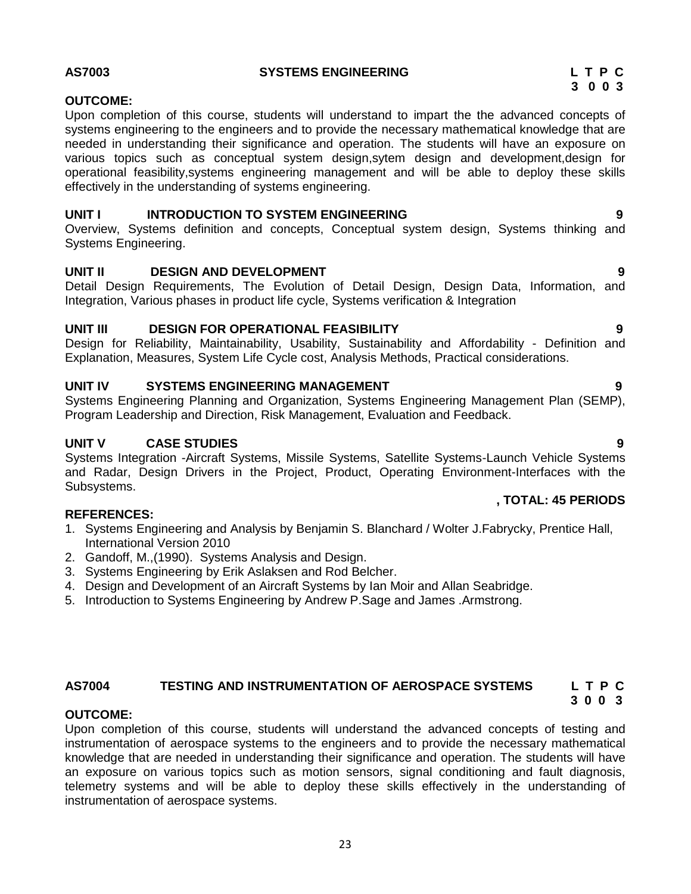## **AS7003 SYSTEMS ENGINEERING L T P C**

## **OUTCOME:**

Upon completion of this course, students will understand to impart the the advanced concepts of systems engineering to the engineers and to provide the necessary mathematical knowledge that are needed in understanding their significance and operation. The students will have an exposure on various topics such as conceptual system design,sytem design and development,design for operational feasibility,systems engineering management and will be able to deploy these skills effectively in the understanding of systems engineering.

## **UNIT I INTRODUCTION TO SYSTEM ENGINEERING 9**

Overview, Systems definition and concepts, Conceptual system design, Systems thinking and Systems Engineering.

## **UNIT II DESIGN AND DEVELOPMENT 9**

Detail Design Requirements, The Evolution of Detail Design, Design Data, Information, and Integration, Various phases in product life cycle, Systems verification & Integration

## **UNIT III DESIGN FOR OPERATIONAL FEASIBILITY 9**

Design for Reliability, Maintainability, Usability, Sustainability and Affordability - Definition and Explanation, Measures, System Life Cycle cost, Analysis Methods, Practical considerations.

## **UNIT IV SYSTEMS ENGINEERING MANAGEMENT 9**

Systems Engineering Planning and Organization, Systems Engineering Management Plan (SEMP), Program Leadership and Direction, Risk Management, Evaluation and Feedback.

## **UNIT V CASE STUDIES 9**

Systems Integration -Aircraft Systems, Missile Systems, Satellite Systems-Launch Vehicle Systems and Radar, Design Drivers in the Project, Product, Operating Environment-Interfaces with the Subsystems.

## **REFERENCES:**

- 1. Systems Engineering and Analysis by Benjamin S. Blanchard / Wolter J.Fabrycky, Prentice Hall, International Version 2010
- 2. Gandoff, M.,(1990). Systems Analysis and Design.
- 3. Systems Engineering by Erik Aslaksen and Rod Belcher.
- 4. Design and Development of an Aircraft Systems by Ian Moir and Allan Seabridge.
- 5. Introduction to Systems Engineering by Andrew P.Sage and James .Armstrong.

## **AS7004 TESTING AND INSTRUMENTATION OF AEROSPACE SYSTEMS L T P C 3 0 0 3**

## **OUTCOME:**

Upon completion of this course, students will understand the advanced concepts of testing and instrumentation of aerospace systems to the engineers and to provide the necessary mathematical knowledge that are needed in understanding their significance and operation. The students will have an exposure on various topics such as motion sensors, signal conditioning and fault diagnosis, telemetry systems and will be able to deploy these skills effectively in the understanding of instrumentation of aerospace systems.

**, TOTAL: 45 PERIODS**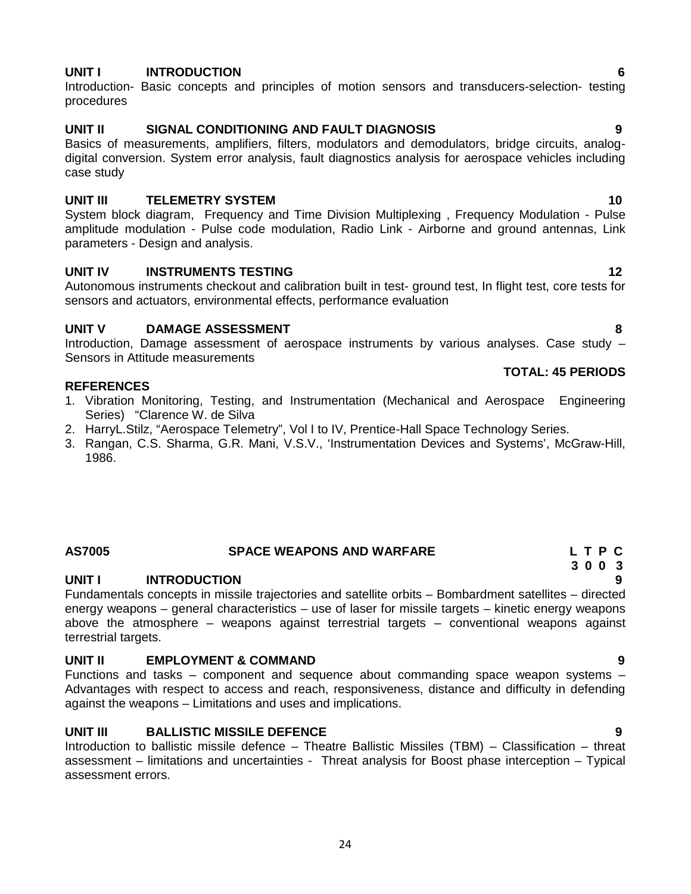## **UNIT I INTRODUCTION 6**

Introduction- Basic concepts and principles of motion sensors and transducers-selection- testing procedures

## **UNIT II SIGNAL CONDITIONING AND FAULT DIAGNOSIS 9**

Basics of measurements, amplifiers, filters, modulators and demodulators, bridge circuits, analog digital conversion. System error analysis, fault diagnostics analysis for aerospace vehicles including case study

## **UNIT III TELEMETRY SYSTEM 10**

System block diagram, Frequency and Time Division Multiplexing , Frequency Modulation - Pulse amplitude modulation - Pulse code modulation, Radio Link - Airborne and ground antennas, Link parameters - Design and analysis.

## **UNIT IV INSTRUMENTS TESTING 12**

Autonomous instruments checkout and calibration built in test- ground test, In flight test, core tests for sensors and actuators, environmental effects, performance evaluation

## **UNIT V DAMAGE ASSESSMENT 8**

Introduction, Damage assessment of aerospace instruments by various analyses. Case study – Sensors in Attitude measurements

## **REFERENCES**

- 1. Vibration Monitoring, Testing, and Instrumentation (Mechanical and Aerospace Engineering Series) "Clarence W. de Silva
- 2. HarryL.Stilz, "Aerospace Telemetry", Vol I to IV, Prentice-Hall Space Technology Series.
- 3. Rangan, C.S. Sharma, G.R. Mani, V.S.V., 'Instrumentation Devices and Systems', McGraw-Hill, 1986.

## **AS7005 SPACE WEAPONS AND WARFARE L T P C**

## **UNIT I INTRODUCTION 9**

Fundamentals concepts in missile trajectories and satellite orbits – Bombardment satellites – directed energy weapons – general characteristics – use of laser for missile targets – kinetic energy weapons above the atmosphere – weapons against terrestrial targets – conventional weapons against terrestrial targets.

## **UNIT II EMPLOYMENT & COMMAND 9**

Functions and tasks – component and sequence about commanding space weapon systems – Advantages with respect to access and reach, responsiveness, distance and difficulty in defending against the weapons – Limitations and uses and implications.

## **UNIT III BALLISTIC MISSILE DEFENCE 9**

Introduction to ballistic missile defence – Theatre Ballistic Missiles (TBM) – Classification – threat assessment – limitations and uncertainties - Threat analysis for Boost phase interception – Typical assessment errors.

## **TOTAL: 45 PERIODS**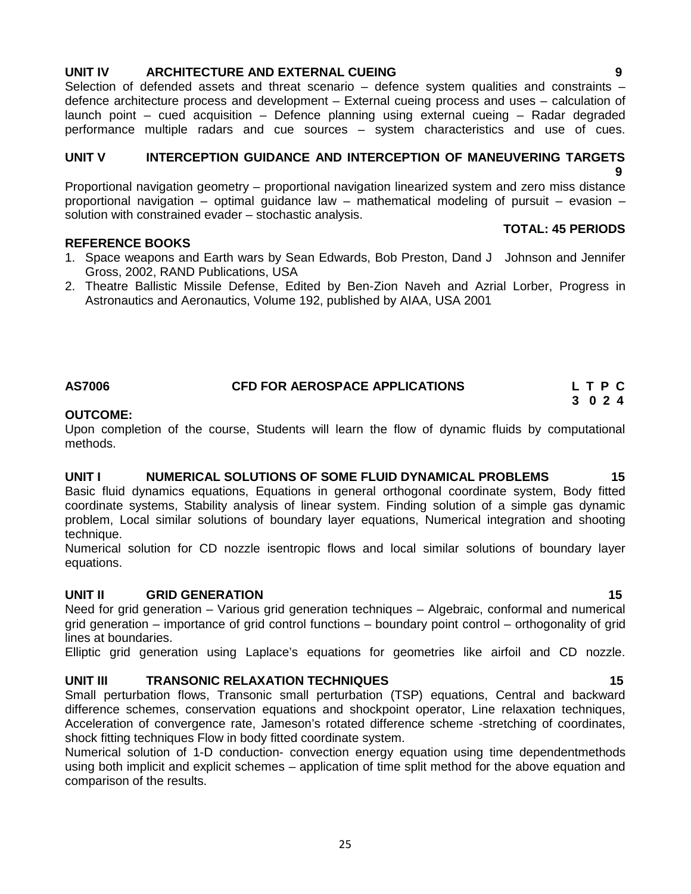## **UNIT IV ARCHITECTURE AND EXTERNAL CUEING 9**

Selection of defended assets and threat scenario - defence system qualities and constraints defence architecture process and development – External cueing process and uses – calculation of launch point – cued acquisition – Defence planning using external cueing – Radar degraded performance multiple radars and cue sources – system characteristics and use of cues.

## **UNIT V INTERCEPTION GUIDANCE AND INTERCEPTION OF MANEUVERING TARGETS 9**

Proportional navigation geometry – proportional navigation linearized system and zero miss distance proportional navigation – optimal guidance law – mathematical modeling of pursuit – evasion – solution with constrained evader – stochastic analysis.

## **REFERENCE BOOKS**

- 1. Space weapons and Earth wars by Sean Edwards, Bob Preston, Dand J Johnson and Jennifer Gross, 2002, RAND Publications, USA
- 2. Theatre Ballistic Missile Defense, Edited by Ben-Zion Naveh and Azrial Lorber, Progress in Astronautics and Aeronautics, Volume 192, published by AIAA, USA 2001

## **AS7006 CFD FOR AEROSPACE APPLICATIONS L T P C 3 0 2 4**

## **OUTCOME:**

Upon completion of the course, Students will learn the flow of dynamic fluids by computational methods.

## **UNIT I NUMERICAL SOLUTIONS OF SOME FLUID DYNAMICAL PROBLEMS 15**

Basic fluid dynamics equations, Equations in general orthogonal coordinate system, Body fitted coordinate systems, Stability analysis of linear system. Finding solution of a simple gas dynamic problem, Local similar solutions of boundary layer equations, Numerical integration and shooting technique.

Numerical solution for CD nozzle isentropic flows and local similar solutions of boundary layer equations.

## **UNIT II GRID GENERATION 15**

Need for grid generation – Various grid generation techniques – Algebraic, conformal and numerical grid generation – importance of grid control functions – boundary point control – orthogonality of grid lines at boundaries.

Elliptic grid generation using Laplace's equations for geometries like airfoil and CD nozzle.

## **UNIT III TRANSONIC RELAXATION TECHNIQUES 15**

Small perturbation flows, Transonic small perturbation (TSP) equations, Central and backward difference schemes, conservation equations and shockpoint operator, Line relaxation techniques, Acceleration of convergence rate, Jameson's rotated difference scheme -stretching of coordinates, shock fitting techniques Flow in body fitted coordinate system.

Numerical solution of 1-D conduction- convection energy equation using time dependentmethods using both implicit and explicit schemes – application of time split method for the above equation and comparison of the results.

**TOTAL: 45 PERIODS**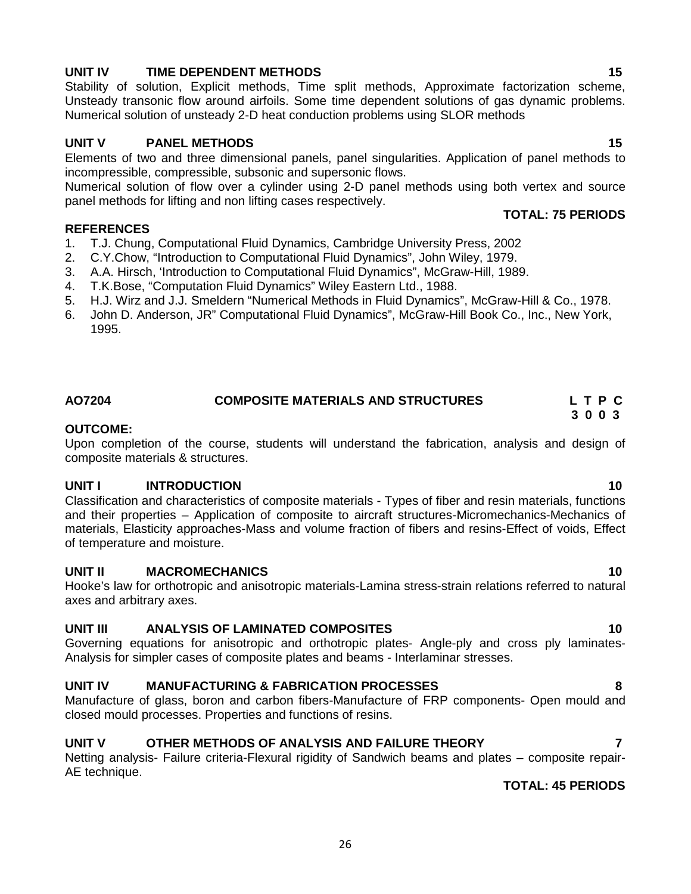## **UNIT IV TIME DEPENDENT METHODS 15**

Stability of solution, Explicit methods, Time split methods, Approximate factorization scheme, Unsteady transonic flow around airfoils. Some time dependent solutions of gas dynamic problems. Numerical solution of unsteady 2-D heat conduction problems using SLOR methods

## **UNIT V PANEL METHODS 15**

Elements of two and three dimensional panels, panel singularities. Application of panel methods to incompressible, compressible, subsonic and supersonic flows.

Numerical solution of flow over a cylinder using 2-D panel methods using both vertex and source panel methods for lifting and non lifting cases respectively.

## **REFERENCES**

- 1. T.J. Chung, Computational Fluid Dynamics, Cambridge University Press, 2002
- 2. C.Y.Chow, "Introduction to Computational Fluid Dynamics", John Wiley, 1979.
- 3. A.A. Hirsch, 'Introduction to Computational Fluid Dynamics", McGraw-Hill, 1989.
- 4. T.K.Bose, "Computation Fluid Dynamics" Wiley Eastern Ltd., 1988.
- 5. H.J. Wirz and J.J. Smeldern "Numerical Methods in Fluid Dynamics", McGraw-Hill & Co., 1978.
- 6. John D. Anderson, JR" Computational Fluid Dynamics", McGraw-Hill Book Co., Inc., New York, 1995.

## **AO7204 COMPOSITE MATERIALS AND STRUCTURES L T P C 3 0 0 3**

## **OUTCOME:**

Upon completion of the course, students will understand the fabrication, analysis and design of composite materials & structures.

## **UNIT I INTRODUCTION 10**

Classification and characteristics of composite materials - Types of fiber and resin materials, functions and their properties – Application of composite to aircraft structures-Micromechanics-Mechanics of materials, Elasticity approaches-Mass and volume fraction of fibers and resins-Effect of voids, Effect of temperature and moisture.

## **UNIT II MACROMECHANICS 10**

Hooke's law for orthotropic and anisotropic materials-Lamina stress-strain relations referred to natural axes and arbitrary axes.

## **UNIT III ANALYSIS OF LAMINATED COMPOSITES 10**

Governing equations for anisotropic and orthotropic plates- Angle-ply and cross ply laminates- Analysis for simpler cases of composite plates and beams - Interlaminar stresses.

## **UNIT IV MANUFACTURING & FABRICATION PROCESSES 8**

Manufacture of glass, boron and carbon fibers-Manufacture of FRP components- Open mould and closed mould processes. Properties and functions of resins.

## **UNIT V OTHER METHODS OF ANALYSIS AND FAILURE THEORY 7**

Netting analysis- Failure criteria-Flexural rigidity of Sandwich beams and plates – composite repair- AE technique.

## **TOTAL: 45 PERIODS**

**TOTAL: 75 PERIODS**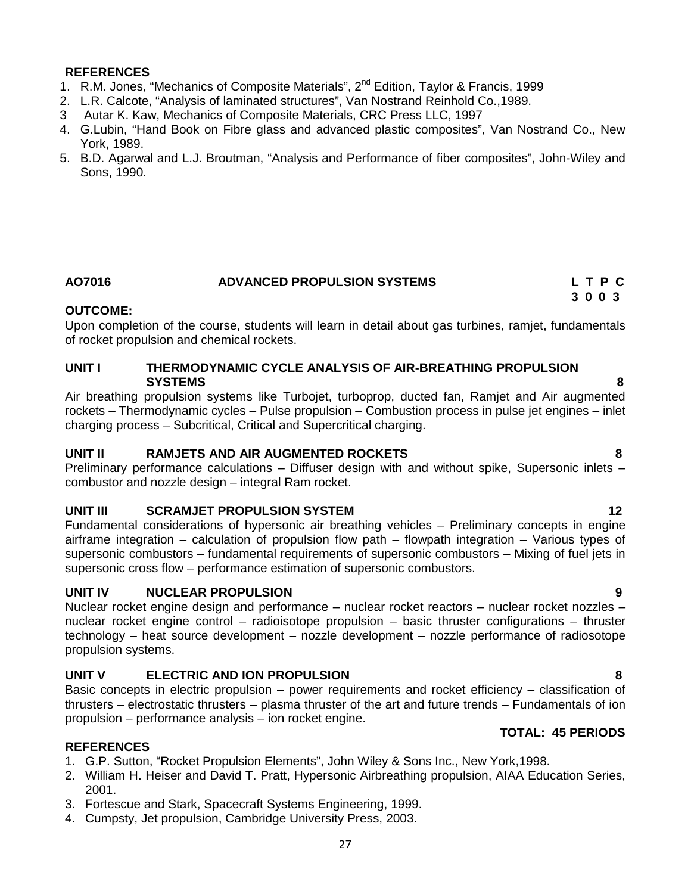## **REFERENCES**

- 1. R.M. Jones, "Mechanics of Composite Materials", 2<sup>nd</sup> Edition, Taylor & Francis, 1999
- 2. L.R. Calcote, "Analysis of laminated structures", Van Nostrand Reinhold Co.,1989.
- 3 Autar K. Kaw, Mechanics of Composite Materials, CRC Press LLC, 1997
- 4. G.Lubin, "Hand Book on Fibre glass and advanced plastic composites", Van Nostrand Co., New York, 1989.
- 5. B.D. Agarwal and L.J. Broutman, "Analysis and Performance of fiber composites", John-Wiley and Sons, 1990.

## **AO7016 ADVANCED PROPULSION SYSTEMS L T P C**

## **OUTCOME:**

Upon completion of the course, students will learn in detail about gas turbines, ramjet, fundamentals of rocket propulsion and chemical rockets.

## **UNIT I THERMODYNAMIC CYCLE ANALYSIS OF AIR-BREATHING PROPULSION SYSTEMS 8**

Air breathing propulsion systems like Turbojet, turboprop, ducted fan, Ramjet and Air augmented rockets – Thermodynamic cycles – Pulse propulsion – Combustion process in pulse jet engines – inlet charging process – Subcritical, Critical and Supercritical charging.

## **UNIT II RAMJETS AND AIR AUGMENTED ROCKETS 8**

Preliminary performance calculations – Diffuser design with and without spike, Supersonic inlets – combustor and nozzle design – integral Ram rocket.

## **UNIT III SCRAMJET PROPULSION SYSTEM 12**

Fundamental considerations of hypersonic air breathing vehicles – Preliminary concepts in engine airframe integration – calculation of propulsion flow path – flowpath integration – Various types of supersonic combustors – fundamental requirements of supersonic combustors – Mixing of fuel jets in supersonic cross flow – performance estimation of supersonic combustors.

## **UNIT IV NUCLEAR PROPULSION 9**

Nuclear rocket engine design and performance – nuclear rocket reactors – nuclear rocket nozzles – nuclear rocket engine control – radioisotope propulsion – basic thruster configurations – thruster technology – heat source development – nozzle development – nozzle performance of radiosotope propulsion systems.

## **UNIT V ELECTRIC AND ION PROPULSION 8**

Basic concepts in electric propulsion – power requirements and rocket efficiency – classification of thrusters – electrostatic thrusters – plasma thruster of the art and future trends – Fundamentals of ion propulsion – performance analysis – ion rocket engine.

## **TOTAL: 45 PERIODS**

## **REFERENCES**

- 1. G.P. Sutton, "Rocket Propulsion Elements", John Wiley & Sons Inc., New York,1998.
- 2. William H. Heiser and David T. Pratt, Hypersonic Airbreathing propulsion, AIAA Education Series, 2001.
- 3. Fortescue and Stark, Spacecraft Systems Engineering, 1999.
- 4. Cumpsty, Jet propulsion, Cambridge University Press, 2003.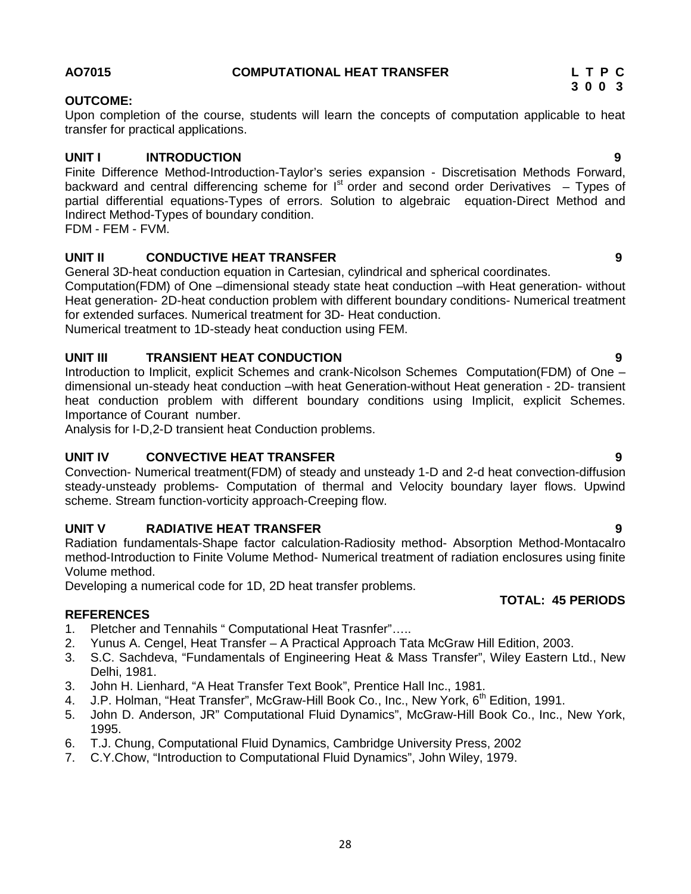## 28

## **AO7015 COMPUTATIONAL HEAT TRANSFER L T P C**

## **OUTCOME:**

Upon completion of the course, students will learn the concepts of computation applicable to heat transfer for practical applications.

## **UNIT I INTRODUCTION 9**

Finite Difference Method-Introduction-Taylor's series expansion - Discretisation Methods Forward, backward and central differencing scheme for  $I<sup>st</sup>$  order and second order Derivatives – Types of partial differential equations-Types of errors. Solution to algebraic equation-Direct Method and Indirect Method-Types of boundary condition.

FDM - FEM - FVM.

## **UNIT II CONDUCTIVE HEAT TRANSFER 9**

General 3D-heat conduction equation in Cartesian, cylindrical and spherical coordinates.

Computation(FDM) of One –dimensional steady state heat conduction –with Heat generation- without Heat generation- 2D-heat conduction problem with different boundary conditions- Numerical treatment for extended surfaces. Numerical treatment for 3D- Heat conduction.

Numerical treatment to 1D-steady heat conduction using FEM.

## **UNIT III TRANSIENT HEAT CONDUCTION 9**

Introduction to Implicit, explicit Schemes and crank-Nicolson Schemes Computation(FDM) of One – dimensional un-steady heat conduction –with heat Generation-without Heat generation - 2D- transient heat conduction problem with different boundary conditions using Implicit, explicit Schemes. Importance of Courant number.

Analysis for I-D,2-D transient heat Conduction problems.

## **UNIT IV CONVECTIVE HEAT TRANSFER 9**

Convection- Numerical treatment(FDM) of steady and unsteady 1-D and 2-d heat convection-diffusion steady-unsteady problems- Computation of thermal and Velocity boundary layer flows. Upwind scheme. Stream function-vorticity approach-Creeping flow.

## **UNIT V RADIATIVE HEAT TRANSFER 9**

Radiation fundamentals-Shape factor calculation-Radiosity method- Absorption Method-Montacalro method-Introduction to Finite Volume Method- Numerical treatment of radiation enclosures using finite Volume method.

Developing a numerical code for 1D, 2D heat transfer problems.

## **REFERENCES**

- 1. Pletcher and Tennahils " Computational Heat Trasnfer"…..
- 2. Yunus A. Cengel, Heat Transfer A Practical Approach Tata McGraw Hill Edition, 2003.
- 3. S.C. Sachdeva, "Fundamentals of Engineering Heat & Mass Transfer", Wiley Eastern Ltd., New Delhi, 1981.
- 3. John H. Lienhard, "A Heat Transfer Text Book", Prentice Hall Inc., 1981.
- 4. J.P. Holman, "Heat Transfer", McGraw-Hill Book Co., Inc., New York, 6<sup>th</sup> Edition. 1991.
- 5. John D. Anderson, JR" Computational Fluid Dynamics", McGraw-Hill Book Co., Inc., New York, 1995.
- 6. T.J. Chung, Computational Fluid Dynamics, Cambridge University Press, 2002
- 7. C.Y.Chow, "Introduction to Computational Fluid Dynamics", John Wiley, 1979.

**3 0 0 3**

## **TOTAL: 45 PERIODS**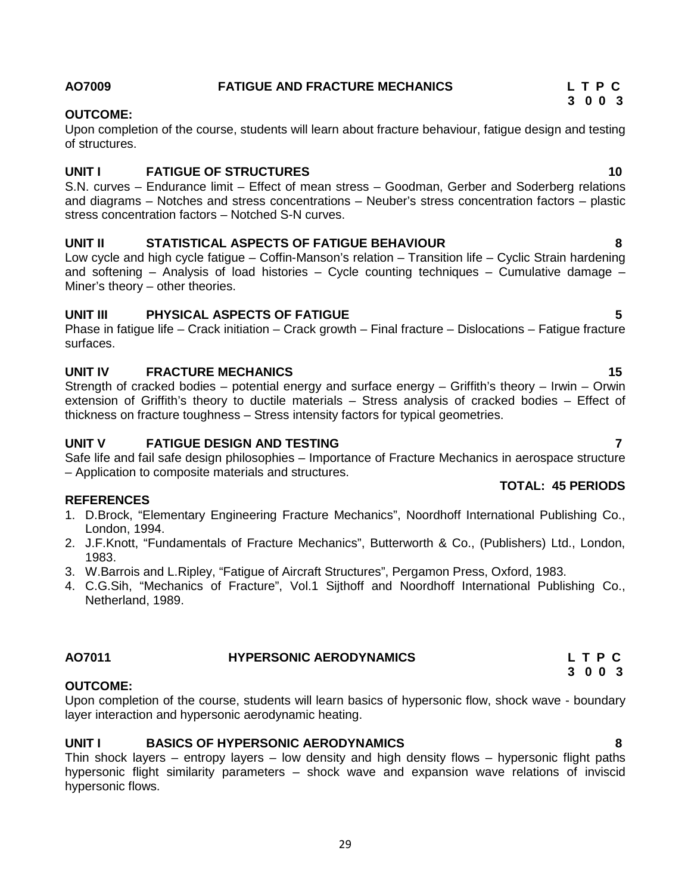## **AO7009 FATIGUE AND FRACTURE MECHANICS L T P C**

## **OUTCOME:**

Upon completion of the course, students will learn about fracture behaviour, fatigue design and testing of structures.

## **UNIT I FATIGUE OF STRUCTURES 10**

S.N. curves – Endurance limit – Effect of mean stress – Goodman, Gerber and Soderberg relations and diagrams – Notches and stress concentrations – Neuber's stress concentration factors – plastic stress concentration factors – Notched S-N curves.

## **UNIT II STATISTICAL ASPECTS OF FATIGUE BEHAVIOUR 8**

Low cycle and high cycle fatigue – Coffin-Manson's relation – Transition life – Cyclic Strain hardening and softening – Analysis of load histories – Cycle counting techniques – Cumulative damage – Miner's theory – other theories.

## **UNIT III PHYSICAL ASPECTS OF FATIGUE 5**

Phase in fatigue life – Crack initiation – Crack growth – Final fracture – Dislocations – Fatigue fracture surfaces.

## **UNIT IV FRACTURE MECHANICS 15**

Strength of cracked bodies – potential energy and surface energy – Griffith's theory – Irwin – Orwin extension of Griffith's theory to ductile materials – Stress analysis of cracked bodies – Effect of thickness on fracture toughness – Stress intensity factors for typical geometries.

## **UNIT V FATIGUE DESIGN AND TESTING 7**

Safe life and fail safe design philosophies – Importance of Fracture Mechanics in aerospace structure – Application to composite materials and structures.

## **REFERENCES**

- 1. D.Brock, "Elementary Engineering Fracture Mechanics", Noordhoff International Publishing Co., London, 1994.
- 2. J.F.Knott, "Fundamentals of Fracture Mechanics", Butterworth & Co., (Publishers) Ltd., London, 1983.
- 3. W.Barrois and L.Ripley, "Fatigue of Aircraft Structures", Pergamon Press, Oxford, 1983.
- 4. C.G.Sih, "Mechanics of Fracture", Vol.1 Sijthoff and Noordhoff International Publishing Co., Netherland, 1989.

## **AO7011 HYPERSONIC AERODYNAMICS L T P C 3 0 0 3**

## **OUTCOME:**

Upon completion of the course, students will learn basics of hypersonic flow, shock wave - boundary layer interaction and hypersonic aerodynamic heating.

## **UNIT I BASICS OF HYPERSONIC AERODYNAMICS 8**

Thin shock layers – entropy layers – low density and high density flows – hypersonic flight paths hypersonic flight similarity parameters – shock wave and expansion wave relations of inviscid hypersonic flows.

## **TOTAL: 45 PERIODS**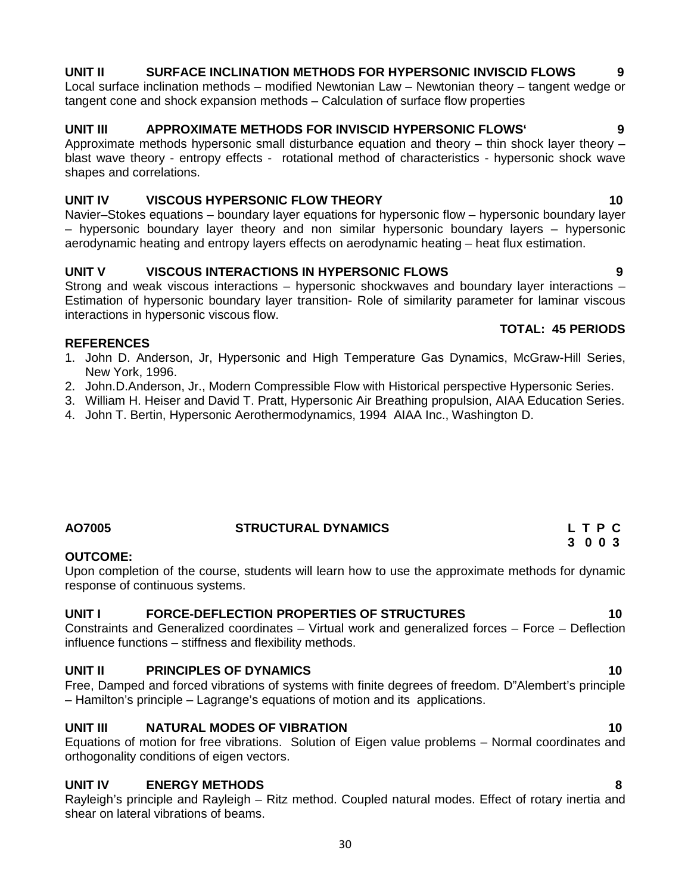## **UNIT II SURFACE INCLINATION METHODS FOR HYPERSONIC INVISCID FLOWS 9**

Local surface inclination methods – modified Newtonian Law – Newtonian theory – tangent wedge or tangent cone and shock expansion methods – Calculation of surface flow properties

## **UNIT III APPROXIMATE METHODS FOR INVISCID HYPERSONIC FLOWS` 9**

Approximate methods hypersonic small disturbance equation and theory – thin shock layer theory – blast wave theory - entropy effects - rotational method of characteristics - hypersonic shock wave shapes and correlations.

## **UNIT IV VISCOUS HYPERSONIC FLOW THEORY 10**

Navier–Stokes equations – boundary layer equations for hypersonic flow – hypersonic boundary layer – hypersonic boundary layer theory and non similar hypersonic boundary layers – hypersonic aerodynamic heating and entropy layers effects on aerodynamic heating – heat flux estimation.

## **UNIT V VISCOUS INTERACTIONS IN HYPERSONIC FLOWS 9**

Strong and weak viscous interactions – hypersonic shockwaves and boundary layer interactions – Estimation of hypersonic boundary layer transition- Role of similarity parameter for laminar viscous interactions in hypersonic viscous flow.

## **REFERENCES**

- 1. John D. Anderson, Jr, Hypersonic and High Temperature Gas Dynamics, McGraw-Hill Series, New York, 1996.
- 2. John.D.Anderson, Jr., Modern Compressible Flow with Historical perspective Hypersonic Series.
- 3. William H. Heiser and David T. Pratt, Hypersonic Air Breathing propulsion, AIAA Education Series.
- 4. John T. Bertin, Hypersonic Aerothermodynamics, 1994 AIAA Inc., Washington D.

## **AO7005 STRUCTURAL DYNAMICS L T P C**

## **OUTCOME:**

Upon completion of the course, students will learn how to use the approximate methods for dynamic response of continuous systems.

## **UNIT I FORCE-DEFLECTION PROPERTIES OF STRUCTURES 10**

Constraints and Generalized coordinates – Virtual work and generalized forces – Force – Deflection influence functions – stiffness and flexibility methods.

## **UNIT II PRINCIPLES OF DYNAMICS 10**

Free, Damped and forced vibrations of systems with finite degrees of freedom. D"Alembert's principle – Hamilton's principle – Lagrange's equations of motion and its applications.

## **UNIT III NATURAL MODES OF VIBRATION 10**

Equations of motion for free vibrations. Solution of Eigen value problems – Normal coordinates and orthogonality conditions of eigen vectors.

## **UNIT IV ENERGY METHODS 8**

Rayleigh's principle and Rayleigh – Ritz method. Coupled natural modes. Effect of rotary inertia and shear on lateral vibrations of beams.

## **TOTAL: 45 PERIODS**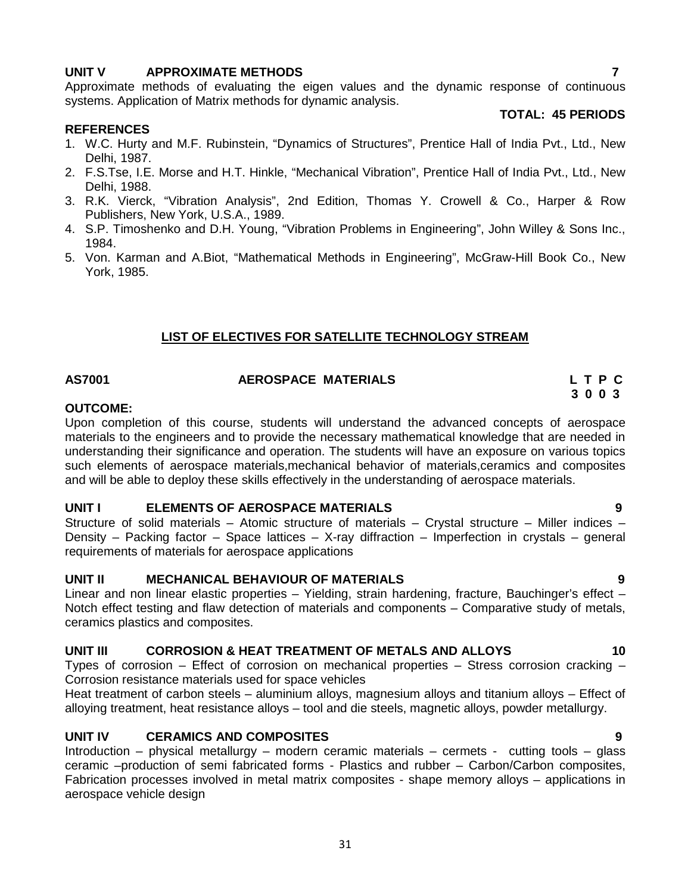## **UNIT V APPROXIMATE METHODS 7**

Approximate methods of evaluating the eigen values and the dynamic response of continuous systems. Application of Matrix methods for dynamic analysis.

## **REFERENCES**

- 1. W.C. Hurty and M.F. Rubinstein, "Dynamics of Structures", Prentice Hall of India Pvt., Ltd., New Delhi, 1987.
- 2. F.S.Tse, I.E. Morse and H.T. Hinkle, "Mechanical Vibration", Prentice Hall of India Pvt., Ltd., New Delhi, 1988.
- 3. R.K. Vierck, "Vibration Analysis", 2nd Edition, Thomas Y. Crowell & Co., Harper & Row Publishers, New York, U.S.A., 1989.
- 4. S.P. Timoshenko and D.H. Young, "Vibration Problems in Engineering", John Willey & Sons Inc., 1984.
- 5. Von. Karman and A.Biot, "Mathematical Methods in Engineering", McGraw-Hill Book Co., New York, 1985.

## **LIST OF ELECTIVES FOR SATELLITE TECHNOLOGY STREAM**

## **AS7001 AEROSPACE MATERIALS L T P C**

## **OUTCOME:**

Upon completion of this course, students will understand the advanced concepts of aerospace materials to the engineers and to provide the necessary mathematical knowledge that are needed in understanding their significance and operation. The students will have an exposure on various topics such elements of aerospace materials,mechanical behavior of materials,ceramics and composites and will be able to deploy these skills effectively in the understanding of aerospace materials.

## **UNIT I ELEMENTS OF AEROSPACE MATERIALS 9**

Structure of solid materials – Atomic structure of materials – Crystal structure – Miller indices – Density – Packing factor – Space lattices – X-ray diffraction – Imperfection in crystals – general requirements of materials for aerospace applications

## **UNIT II MECHANICAL BEHAVIOUR OF MATERIALS 9**

Linear and non linear elastic properties – Yielding, strain hardening, fracture, Bauchinger's effect – Notch effect testing and flaw detection of materials and components – Comparative study of metals, ceramics plastics and composites.

## **UNIT III CORROSION & HEAT TREATMENT OF METALS AND ALLOYS 10**

Types of corrosion – Effect of corrosion on mechanical properties – Stress corrosion cracking – Corrosion resistance materials used for space vehicles

Heat treatment of carbon steels – aluminium alloys, magnesium alloys and titanium alloys – Effect of alloying treatment, heat resistance alloys – tool and die steels, magnetic alloys, powder metallurgy.

## **UNIT IV CERAMICS AND COMPOSITES 9**

Introduction – physical metallurgy – modern ceramic materials – cermets - cutting tools – glass ceramic –production of semi fabricated forms - Plastics and rubber – Carbon/Carbon composites, Fabrication processes involved in metal matrix composites - shape memory alloys – applications in aerospace vehicle design

**TOTAL: 45 PERIODS**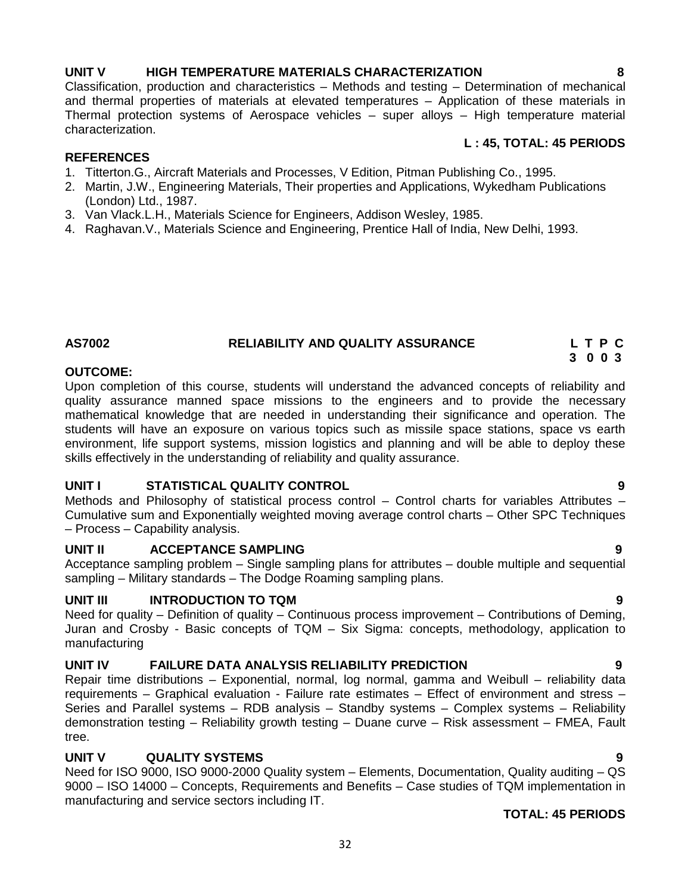**L : 45, TOTAL: 45 PERIODS**

## **UNIT V HIGH TEMPERATURE MATERIALS CHARACTERIZATION 8**

## Classification, production and characteristics – Methods and testing – Determination of mechanical and thermal properties of materials at elevated temperatures – Application of these materials in Thermal protection systems of Aerospace vehicles – super alloys – High temperature material characterization.

## **REFERENCES**

- 1. Titterton.G., Aircraft Materials and Processes, V Edition, Pitman Publishing Co., 1995.
- 2. Martin, J.W., Engineering Materials, Their properties and Applications, Wykedham Publications (London) Ltd., 1987.
- 3. Van Vlack.L.H., Materials Science for Engineers, Addison Wesley, 1985.
- 4. Raghavan.V., Materials Science and Engineering, Prentice Hall of India, New Delhi, 1993.

## **AS7002 RELIABILITY AND QUALITY ASSURANCE L T P C**

## **OUTCOME:**

Upon completion of this course, students will understand the advanced concepts of reliability and quality assurance manned space missions to the engineers and to provide the necessary mathematical knowledge that are needed in understanding their significance and operation. The students will have an exposure on various topics such as missile space stations, space vs earth environment, life support systems, mission logistics and planning and will be able to deploy these skills effectively in the understanding of reliability and quality assurance.

## **UNIT I STATISTICAL QUALITY CONTROL 9**

Methods and Philosophy of statistical process control – Control charts for variables Attributes – Cumulative sum and Exponentially weighted moving average control charts – Other SPC Techniques – Process – Capability analysis.

## **UNIT II ACCEPTANCE SAMPLING 9**

Acceptance sampling problem – Single sampling plans for attributes – double multiple and sequential sampling – Military standards – The Dodge Roaming sampling plans.

## **UNIT III INTRODUCTION TO TQM 9**

Need for quality – Definition of quality – Continuous process improvement – Contributions of Deming, Juran and Crosby - Basic concepts of TQM – Six Sigma: concepts, methodology, application to manufacturing

## **UNIT IV FAILURE DATA ANALYSIS RELIABILITY PREDICTION 9**

Repair time distributions – Exponential, normal, log normal, gamma and Weibull – reliability data requirements – Graphical evaluation - Failure rate estimates – Effect of environment and stress – Series and Parallel systems – RDB analysis – Standby systems – Complex systems – Reliability demonstration testing – Reliability growth testing – Duane curve – Risk assessment – FMEA, Fault tree.

## **UNIT V QUALITY SYSTEMS 9**

Need for ISO 9000, ISO 9000-2000 Quality system – Elements, Documentation, Quality auditing – QS 9000 – ISO 14000 – Concepts, Requirements and Benefits – Case studies of TQM implementation in manufacturing and service sectors including IT.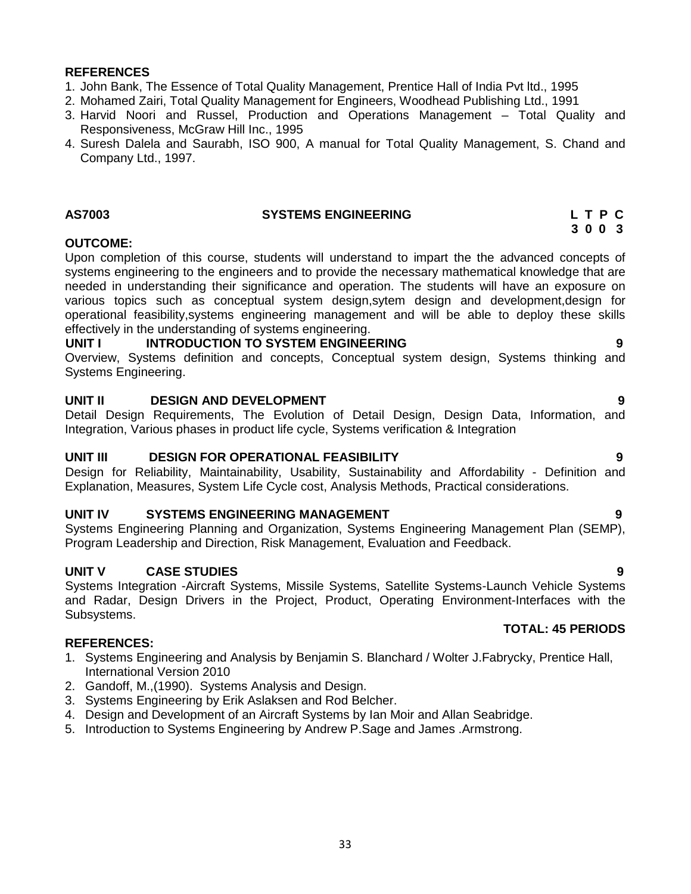## **REFERENCES**

- 1. John Bank, The Essence of Total Quality Management, Prentice Hall of India Pvt ltd., 1995
- 2. Mohamed Zairi, Total Quality Management for Engineers, Woodhead Publishing Ltd., 1991
- 3. Harvid Noori and Russel, Production and Operations Management Total Quality and Responsiveness, McGraw Hill Inc., 1995
- 4. Suresh Dalela and Saurabh, ISO 900, A manual for Total Quality Management, S. Chand and Company Ltd., 1997.

## **AS7003 SYSTEMS ENGINEERING L T P C**

## **OUTCOME:**

Upon completion of this course, students will understand to impart the the advanced concepts of systems engineering to the engineers and to provide the necessary mathematical knowledge that are needed in understanding their significance and operation. The students will have an exposure on various topics such as conceptual system design,sytem design and development,design for operational feasibility,systems engineering management and will be able to deploy these skills effectively in the understanding of systems engineering.

## **UNIT I INTRODUCTION TO SYSTEM ENGINEERING 9**

Overview, Systems definition and concepts, Conceptual system design, Systems thinking and Systems Engineering.

## **UNIT II DESIGN AND DEVELOPMENT 9**

Detail Design Requirements, The Evolution of Detail Design, Design Data, Information, and Integration, Various phases in product life cycle, Systems verification & Integration

## **UNIT III DESIGN FOR OPERATIONAL FEASIBILITY 9**

Design for Reliability, Maintainability, Usability, Sustainability and Affordability - Definition and Explanation, Measures, System Life Cycle cost, Analysis Methods, Practical considerations.

## **UNIT IV SYSTEMS ENGINEERING MANAGEMENT 9**

Systems Engineering Planning and Organization, Systems Engineering Management Plan (SEMP), Program Leadership and Direction, Risk Management, Evaluation and Feedback.

## **UNIT V CASE STUDIES 9**

Systems Integration -Aircraft Systems, Missile Systems, Satellite Systems-Launch Vehicle Systems and Radar, Design Drivers in the Project, Product, Operating Environment-Interfaces with the Subsystems.

## **REFERENCES:**

- 1. Systems Engineering and Analysis by Benjamin S. Blanchard / Wolter J.Fabrycky, Prentice Hall, International Version 2010
- 2. Gandoff, M.,(1990). Systems Analysis and Design.
- 3. Systems Engineering by Erik Aslaksen and Rod Belcher.
- 4. Design and Development of an Aircraft Systems by Ian Moir and Allan Seabridge.
- 5. Introduction to Systems Engineering by Andrew P.Sage and James .Armstrong.

**TOTAL: 45 PERIODS**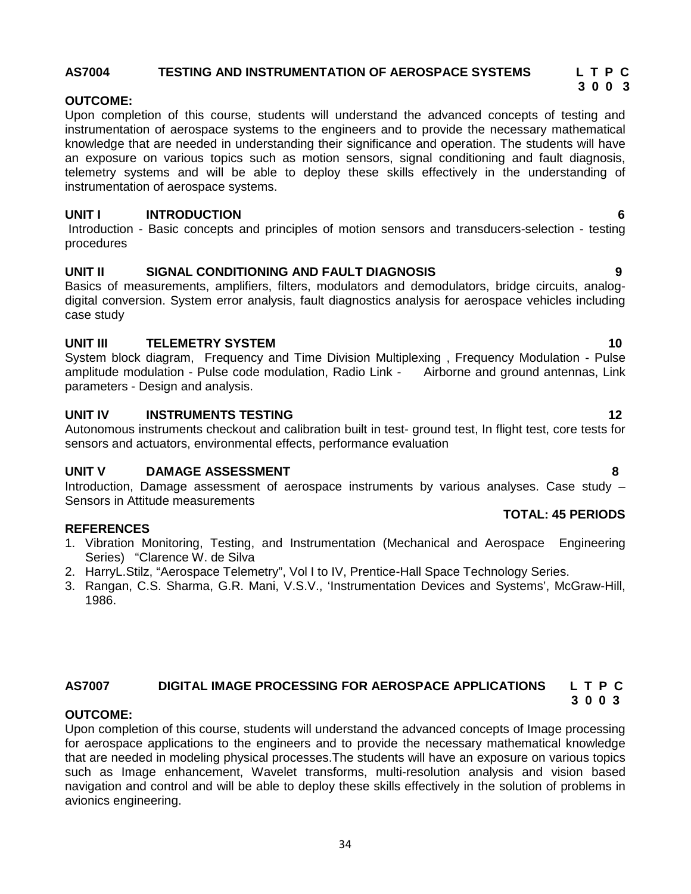# 34

## **AS7004 TESTING AND INSTRUMENTATION OF AEROSPACE SYSTEMS L T P C**

## **OUTCOME:**

Upon completion of this course, students will understand the advanced concepts of testing and instrumentation of aerospace systems to the engineers and to provide the necessary mathematical knowledge that are needed in understanding their significance and operation. The students will have an exposure on various topics such as motion sensors, signal conditioning and fault diagnosis, telemetry systems and will be able to deploy these skills effectively in the understanding of instrumentation of aerospace systems.

## **UNIT I INTRODUCTION 6**

Introduction - Basic concepts and principles of motion sensors and transducers-selection - testing procedures

## **UNIT II SIGNAL CONDITIONING AND FAULT DIAGNOSIS 9**

Basics of measurements, amplifiers, filters, modulators and demodulators, bridge circuits, analog digital conversion. System error analysis, fault diagnostics analysis for aerospace vehicles including case study

## **UNIT III TELEMETRY SYSTEM 10**

System block diagram, Frequency and Time Division Multiplexing , Frequency Modulation - Pulse amplitude modulation - Pulse code modulation, Radio Link - Airborne and ground antennas, Link parameters - Design and analysis.

## **UNIT IV INSTRUMENTS TESTING 12**

Autonomous instruments checkout and calibration built in test- ground test, In flight test, core tests for sensors and actuators, environmental effects, performance evaluation

## **UNIT V DAMAGE ASSESSMENT 8**

Introduction, Damage assessment of aerospace instruments by various analyses. Case study – Sensors in Attitude measurements **TOTAL: 45 PERIODS**

## **REFERENCES**

- 1. Vibration Monitoring, Testing, and Instrumentation (Mechanical and Aerospace Engineering Series) "Clarence W. de Silva
- 2. HarryL.Stilz, "Aerospace Telemetry", Vol I to IV, Prentice-Hall Space Technology Series.
- 3. Rangan, C.S. Sharma, G.R. Mani, V.S.V., 'Instrumentation Devices and Systems', McGraw-Hill, 1986.

## **AS7007 DIGITAL IMAGE PROCESSING FOR AEROSPACE APPLICATIONS L T P C 3 0 0 3**

## **OUTCOME:**

Upon completion of this course, students will understand the advanced concepts of Image processing for aerospace applications to the engineers and to provide the necessary mathematical knowledge that are needed in modeling physical processes.The students will have an exposure on various topics such as Image enhancement, Wavelet transforms, multi-resolution analysis and vision based navigation and control and will be able to deploy these skills effectively in the solution of problems in avionics engineering.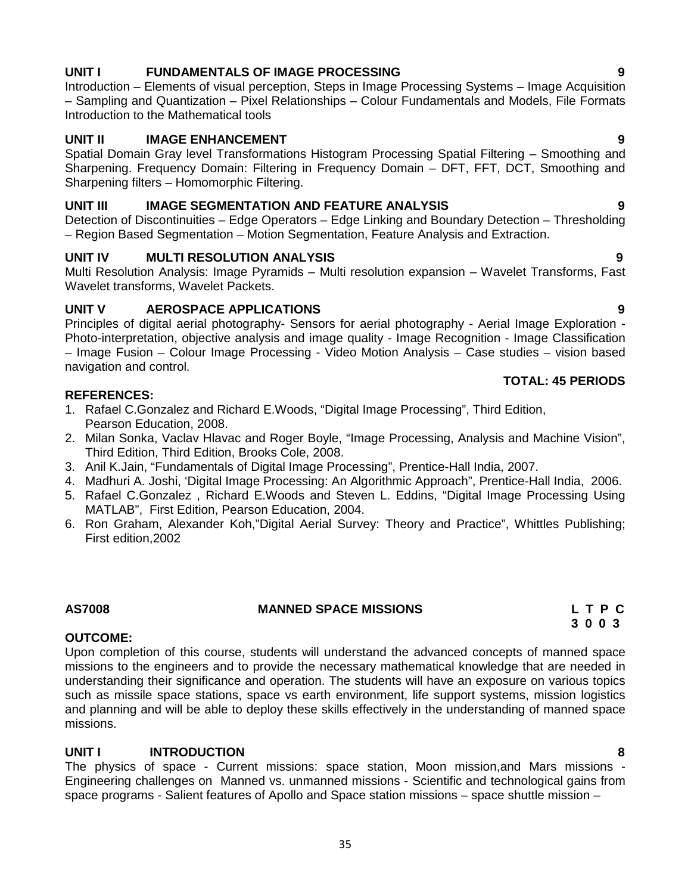## **UNIT I FUNDAMENTALS OF IMAGE PROCESSING 9**

Introduction – Elements of visual perception, Steps in Image Processing Systems – Image Acquisition – Sampling and Quantization – Pixel Relationships – Colour Fundamentals and Models, File Formats Introduction to the Mathematical tools

## **UNIT II IMAGE ENHANCEMENT 9**

Spatial Domain Gray level Transformations Histogram Processing Spatial Filtering – Smoothing and Sharpening. Frequency Domain: Filtering in Frequency Domain – DFT, FFT, DCT, Smoothing and Sharpening filters – Homomorphic Filtering.

## **UNIT III IMAGE SEGMENTATION AND FEATURE ANALYSIS 9**

Detection of Discontinuities – Edge Operators – Edge Linking and Boundary Detection – Thresholding – Region Based Segmentation – Motion Segmentation, Feature Analysis and Extraction.

## **UNIT IV MULTI RESOLUTION ANALYSIS 9**

Multi Resolution Analysis: Image Pyramids – Multi resolution expansion – Wavelet Transforms, Fast Wavelet transforms, Wavelet Packets.

## **UNIT V AEROSPACE APPLICATIONS 9**

Principles of digital aerial photography- Sensors for aerial photography - Aerial Image Exploration - Photo-interpretation, objective analysis and image quality - Image Recognition - Image Classification – Image Fusion – Colour Image Processing - Video Motion Analysis – Case studies – vision based navigation and control.

## **REFERENCES:**

- 1. Rafael C.Gonzalez and Richard E.Woods, "Digital Image Processing", Third Edition, Pearson Education, 2008.
- 2. Milan Sonka, Vaclav Hlavac and Roger Boyle, "Image Processing, Analysis and Machine Vision", Third Edition, Third Edition, Brooks Cole, 2008.
- 3. Anil K.Jain, "Fundamentals of Digital Image Processing", Prentice-Hall India, 2007.
- 4. Madhuri A. Joshi, 'Digital Image Processing: An Algorithmic Approach", Prentice-Hall India, 2006.
- 5. Rafael C.Gonzalez , Richard E.Woods and Steven L. Eddins, "Digital Image Processing Using MATLAB", First Edition, Pearson Education, 2004.
- 6. Ron Graham, Alexander Koh,"Digital Aerial Survey: Theory and Practice", Whittles Publishing; First edition,2002

## **AS7008 MANNED SPACE MISSIONS L T P C**

## **OUTCOME:**

Upon completion of this course, students will understand the advanced concepts of manned space missions to the engineers and to provide the necessary mathematical knowledge that are needed in understanding their significance and operation. The students will have an exposure on various topics such as missile space stations, space vs earth environment, life support systems, mission logistics and planning and will be able to deploy these skills effectively in the understanding of manned space missions.

## **UNIT I INTRODUCTION 8**

The physics of space - Current missions: space station, Moon mission,and Mars missions - Engineering challenges on Manned vs. unmanned missions - Scientific and technological gains from space programs - Salient features of Apollo and Space station missions – space shuttle mission –

**TOTAL: 45 PERIODS**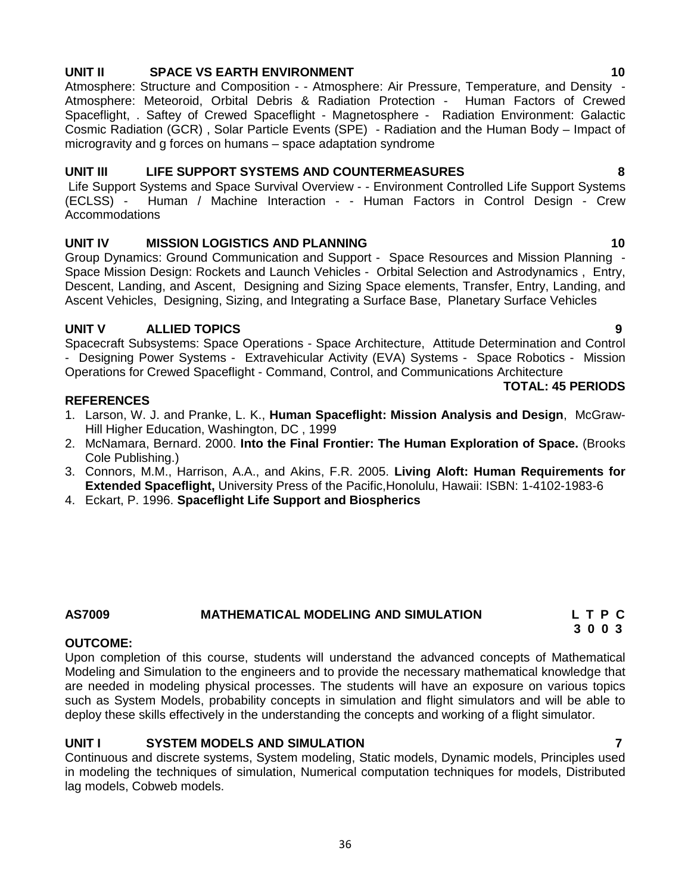## **UNIT II SPACE VS EARTH ENVIRONMENT 10**

Atmosphere: Structure and Composition - - Atmosphere: Air Pressure, Temperature, and Density - Atmosphere: Meteoroid, Orbital Debris & Radiation Protection - Human Factors of Crewed Spaceflight, . Saftey of Crewed Spaceflight - Magnetosphere - Radiation Environment: Galactic Cosmic Radiation (GCR) , Solar Particle Events (SPE) - Radiation and the Human Body – Impact of microgravity and g forces on humans – space adaptation syndrome

## **UNIT III LIFE SUPPORT SYSTEMS AND COUNTERMEASURES 8**

Life Support Systems and Space Survival Overview - - Environment Controlled Life Support Systems (ECLSS) - Human / Machine Interaction - - Human Factors in Control Design - Crew Accommodations

## **UNIT IV MISSION LOGISTICS AND PLANNING 10**

Group Dynamics: Ground Communication and Support - Space Resources and Mission Planning - Space Mission Design: Rockets and Launch Vehicles - Orbital Selection and Astrodynamics , Entry, Descent, Landing, and Ascent, Designing and Sizing Space elements, Transfer, Entry, Landing, and Ascent Vehicles, Designing, Sizing, and Integrating a Surface Base, Planetary Surface Vehicles

## **UNIT V ALLIED TOPICS 9**

Spacecraft Subsystems: Space Operations - Space Architecture, Attitude Determination and Control - Designing Power Systems - Extravehicular Activity (EVA) Systems - Space Robotics - Mission Operations for Crewed Spaceflight - Command, Control, and Communications Architecture

## **REFERENCES**

- 1. Larson, W. J. and Pranke, L. K., **Human Spaceflight: Mission Analysis and Design**, McGraw- Hill Higher Education, Washington, DC , 1999
- 2. McNamara, Bernard. 2000. **Into the Final Frontier: The Human Exploration of Space.** (Brooks Cole Publishing.)
- 3. Connors, M.M., Harrison, A.A., and Akins, F.R. 2005. **Living Aloft: Human Requirements for Extended Spaceflight,** University Press of the Pacific,Honolulu, Hawaii: ISBN: 1-4102-1983-6
- 4. Eckart, P. 1996. **Spaceflight Life Support and Biospherics**

## **OUTCOME:**

Upon completion of this course, students will understand the advanced concepts of Mathematical Modeling and Simulation to the engineers and to provide the necessary mathematical knowledge that are needed in modeling physical processes. The students will have an exposure on various topics such as System Models, probability concepts in simulation and flight simulators and will be able to deploy these skills effectively in the understanding the concepts and working of a flight simulator.

## **UNIT I SYSTEM MODELS AND SIMULATION 7**

Continuous and discrete systems, System modeling, Static models, Dynamic models, Principles used in modeling the techniques of simulation, Numerical computation techniques for models, Distributed lag models, Cobweb models.

**TOTAL: 45 PERIODS**

**AS7009 MATHEMATICAL MODELING AND SIMULATION L T P C 3 0 0 3**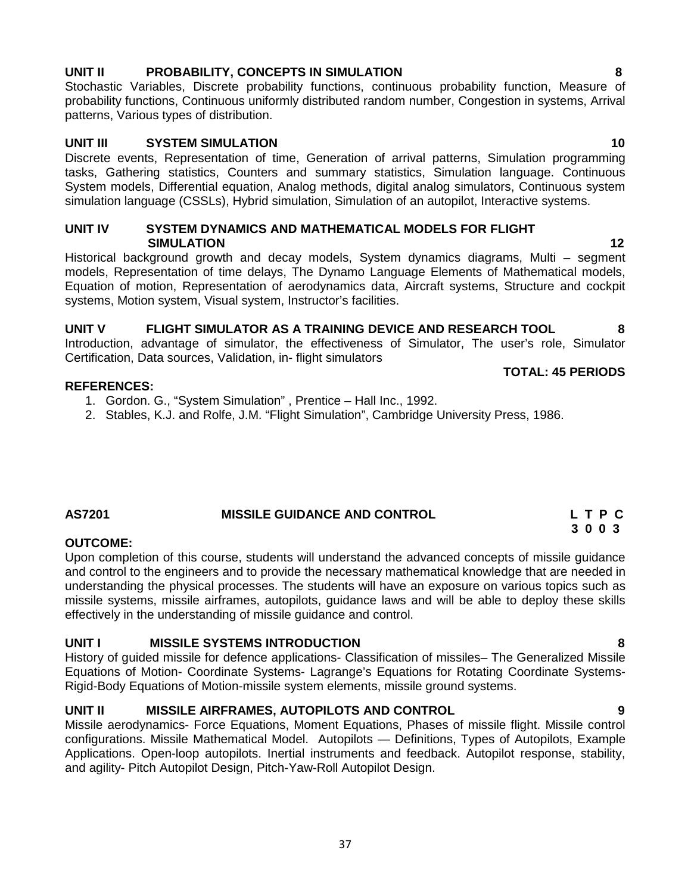## **UNIT II PROBABILITY, CONCEPTS IN SIMULATION 8**

Stochastic Variables, Discrete probability functions, continuous probability function, Measure of probability functions, Continuous uniformly distributed random number, Congestion in systems, Arrival patterns, Various types of distribution.

## **UNIT III SYSTEM SIMULATION 10**

Discrete events, Representation of time, Generation of arrival patterns, Simulation programming tasks, Gathering statistics, Counters and summary statistics, Simulation language. Continuous System models, Differential equation, Analog methods, digital analog simulators, Continuous system simulation language (CSSLs), Hybrid simulation, Simulation of an autopilot, Interactive systems.

## **UNIT IV SYSTEM DYNAMICS AND MATHEMATICAL MODELS FOR FLIGHT SIMULATION 12**

Historical background growth and decay models, System dynamics diagrams, Multi – segment models, Representation of time delays, The Dynamo Language Elements of Mathematical models, Equation of motion, Representation of aerodynamics data, Aircraft systems, Structure and cockpit systems, Motion system, Visual system, Instructor's facilities.

**UNIT V FLIGHT SIMULATOR AS A TRAINING DEVICE AND RESEARCH TOOL 8** Introduction, advantage of simulator, the effectiveness of Simulator, The user's role, Simulator Certification, Data sources, Validation, in- flight simulators

## **REFERENCES:**

- 1. Gordon. G., "System Simulation" , Prentice Hall Inc., 1992.
- 2. Stables, K.J. and Rolfe, J.M. "Flight Simulation", Cambridge University Press, 1986.

## **AS7201 MISSILE GUIDANCE AND CONTROL L T P C**

## **OUTCOME:**

Upon completion of this course, students will understand the advanced concepts of missile guidance and control to the engineers and to provide the necessary mathematical knowledge that are needed in understanding the physical processes. The students will have an exposure on various topics such as missile systems, missile airframes, autopilots, guidance laws and will be able to deploy these skills effectively in the understanding of missile guidance and control.

## **UNIT I MISSILE SYSTEMS INTRODUCTION 8**

History of guided missile for defence applications- Classification of missiles– The Generalized Missile Equations of Motion- Coordinate Systems- Lagrange's Equations for Rotating Coordinate Systems- Rigid-Body Equations of Motion-missile system elements, missile ground systems.

## **UNIT II MISSILE AIRFRAMES, AUTOPILOTS AND CONTROL 9**

Missile aerodynamics- Force Equations, Moment Equations, Phases of missile flight. Missile control configurations. Missile Mathematical Model. Autopilots — Definitions, Types of Autopilots, Example Applications. Open-loop autopilots. Inertial instruments and feedback. Autopilot response, stability, and agility- Pitch Autopilot Design, Pitch-Yaw-Roll Autopilot Design.

**3 0 0 3**

**TOTAL: 45 PERIODS**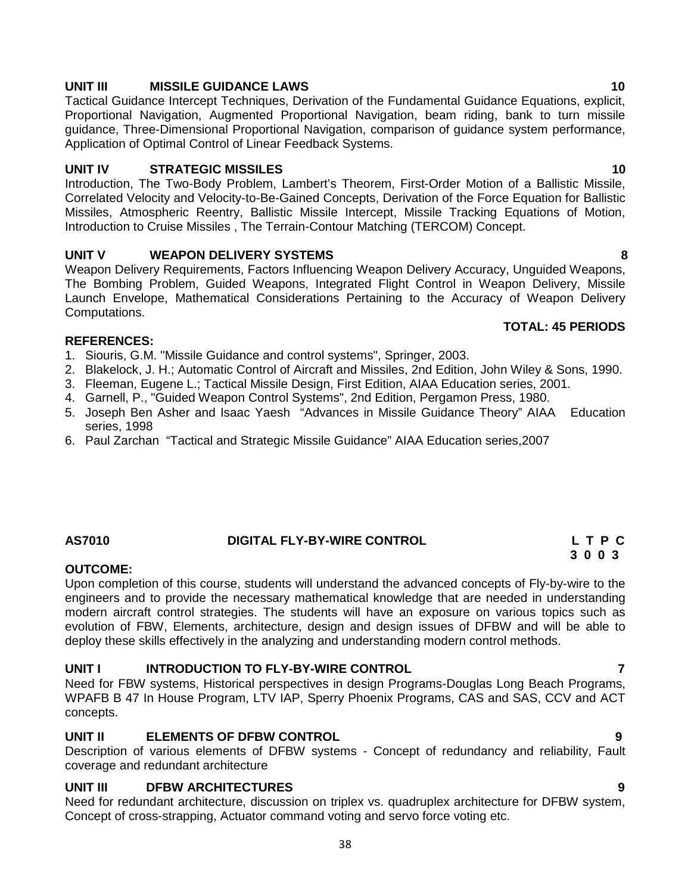## **UNIT III MISSILE GUIDANCE LAWS 10**

Tactical Guidance Intercept Techniques, Derivation of the Fundamental Guidance Equations, explicit, Proportional Navigation, Augmented Proportional Navigation, beam riding, bank to turn missile guidance, Three-Dimensional Proportional Navigation, comparison of guidance system performance, Application of Optimal Control of Linear Feedback Systems.

## **UNIT IV STRATEGIC MISSILES 10**

Introduction, The Two-Body Problem, Lambert's Theorem, First-Order Motion of a Ballistic Missile, Correlated Velocity and Velocity-to-Be-Gained Concepts, Derivation of the Force Equation for Ballistic Missiles, Atmospheric Reentry, Ballistic Missile Intercept, Missile Tracking Equations of Motion, Introduction to Cruise Missiles , The Terrain-Contour Matching (TERCOM) Concept.

## **UNIT V WEAPON DELIVERY SYSTEMS 8**

Weapon Delivery Requirements, Factors Influencing Weapon Delivery Accuracy, Unguided Weapons, The Bombing Problem, Guided Weapons, Integrated Flight Control in Weapon Delivery, Missile Launch Envelope, Mathematical Considerations Pertaining to the Accuracy of Weapon Delivery Computations.

## **REFERENCES:**

- 1. Siouris, G.M. "Missile Guidance and control systems", Springer, 2003.
- 2. Blakelock, J. H.; Automatic Control of Aircraft and Missiles, 2nd Edition, John Wiley & Sons, 1990.
- 3. Fleeman, Eugene L.; Tactical Missile Design, First Edition, AIAA Education series, 2001.
- 4. Garnell, P., "Guided Weapon Control Systems", 2nd Edition, Pergamon Press, 1980.
- 5. Joseph Ben Asher and Isaac Yaesh "Advances in Missile Guidance Theory" AIAA Education series, 1998
- 6. Paul Zarchan "Tactical and Strategic Missile Guidance" AIAA Education series,2007

## **AS7010 DIGITAL FLY-BY-WIRE CONTROL L T P C**

## **OUTCOME:**

Upon completion of this course, students will understand the advanced concepts of Fly-by-wire to the engineers and to provide the necessary mathematical knowledge that are needed in understanding modern aircraft control strategies. The students will have an exposure on various topics such as evolution of FBW, Elements, architecture, design and design issues of DFBW and will be able to deploy these skills effectively in the analyzing and understanding modern control methods.

## **UNIT I INTRODUCTION TO FLY-BY-WIRE CONTROL 7**

Need for FBW systems, Historical perspectives in design Programs-Douglas Long Beach Programs, WPAFB B 47 In House Program, LTV IAP, Sperry Phoenix Programs, CAS and SAS, CCV and ACT concepts.

## **UNIT II ELEMENTS OF DFBW CONTROL 9**

Description of various elements of DFBW systems - Concept of redundancy and reliability, Fault coverage and redundant architecture

## **UNIT III DFBW ARCHITECTURES 9**

Need for redundant architecture, discussion on triplex vs. quadruplex architecture for DFBW system, Concept of cross-strapping, Actuator command voting and servo force voting etc.

## **TOTAL: 45 PERIODS**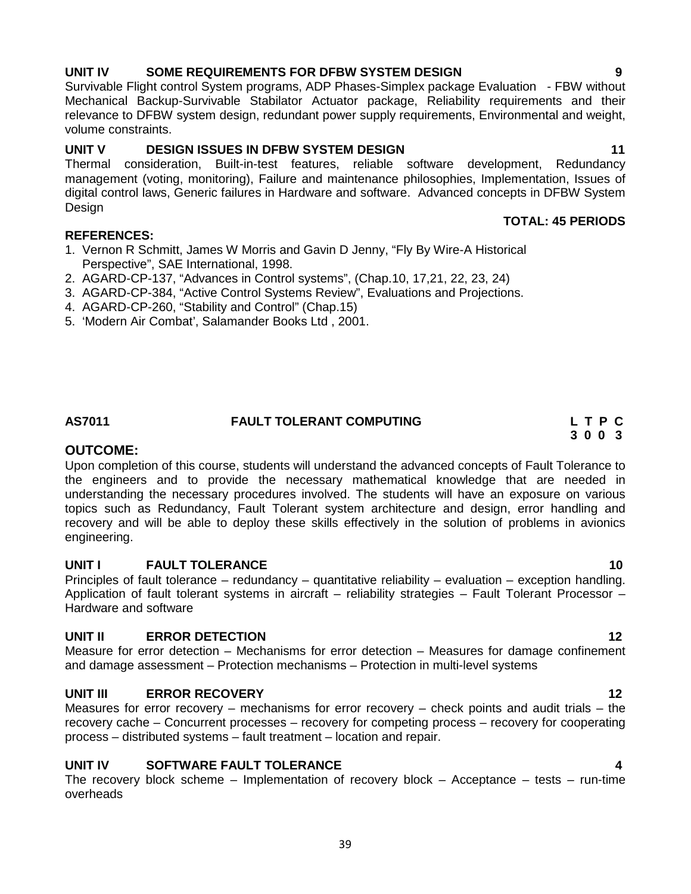## **UNIT IV SOME REQUIREMENTS FOR DFBW SYSTEM DESIGN 9**

Survivable Flight control System programs, ADP Phases-Simplex package Evaluation - FBW without Mechanical Backup-Survivable Stabilator Actuator package, Reliability requirements and their relevance to DFBW system design, redundant power supply requirements, Environmental and weight, volume constraints.

## **UNIT V DESIGN ISSUES IN DFBW SYSTEM DESIGN 11**

Thermal consideration, Built-in-test features, reliable software development, Redundancy management (voting, monitoring), Failure and maintenance philosophies, Implementation, Issues of digital control laws, Generic failures in Hardware and software. Advanced concepts in DFBW System Design

## **REFERENCES:**

- 1. Vernon R Schmitt, James W Morris and Gavin D Jenny, "Fly By Wire-A Historical Perspective", SAE International, 1998.
- 2. AGARD-CP-137, "Advances in Control systems", (Chap.10, 17,21, 22, 23, 24)
- 3. AGARD-CP-384, "Active Control Systems Review", Evaluations and Projections.
- 4. AGARD-CP-260, "Stability and Control" (Chap.15)
- 5. 'Modern Air Combat', Salamander Books Ltd , 2001.

## **OUTCOME:**

Upon completion of this course, students will understand the advanced concepts of Fault Tolerance to the engineers and to provide the necessary mathematical knowledge that are needed in understanding the necessary procedures involved. The students will have an exposure on various topics such as Redundancy, Fault Tolerant system architecture and design, error handling and recovery and will be able to deploy these skills effectively in the solution of problems in avionics engineering.

**AS7011 FAULT TOLERANT COMPUTING L T P C**

## **UNIT I FAULT TOLERANCE 10**

Principles of fault tolerance – redundancy – quantitative reliability – evaluation – exception handling. Application of fault tolerant systems in aircraft – reliability strategies – Fault Tolerant Processor – Hardware and software

## **UNIT II ERROR DETECTION 12**

Measure for error detection – Mechanisms for error detection – Measures for damage confinement and damage assessment – Protection mechanisms – Protection in multi-level systems

## **UNIT III ERROR RECOVERY 12**

Measures for error recovery – mechanisms for error recovery – check points and audit trials – the recovery cache – Concurrent processes – recovery for competing process – recovery for cooperating process – distributed systems – fault treatment – location and repair.

## **UNIT IV SOFTWARE FAULT TOLERANCE 4**

The recovery block scheme – Implementation of recovery block – Acceptance – tests – run-time overheads

**3 0 0 3**

**TOTAL: 45 PERIODS**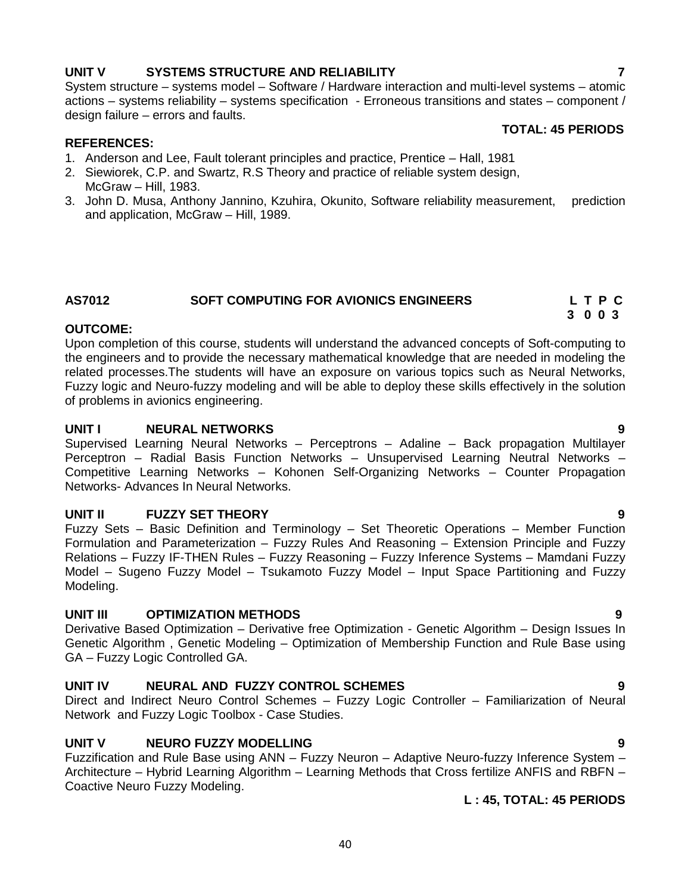## **UNIT V SYSTEMS STRUCTURE AND RELIABILITY 7**

System structure – systems model – Software / Hardware interaction and multi-level systems – atomic actions – systems reliability – systems specification - Erroneous transitions and states – component / design failure – errors and faults.

## **REFERENCES:**

- 1. Anderson and Lee, Fault tolerant principles and practice, Prentice Hall, 1981
- 2. Siewiorek, C.P. and Swartz, R.S Theory and practice of reliable system design, McGraw – Hill, 1983.
- 3. John D. Musa, Anthony Jannino, Kzuhira, Okunito, Software reliability measurement, prediction and application, McGraw – Hill, 1989.

## **AS7012 SOFT COMPUTING FOR AVIONICS ENGINEERS L T P C**

## **OUTCOME:**

Upon completion of this course, students will understand the advanced concepts of Soft-computing to the engineers and to provide the necessary mathematical knowledge that are needed in modeling the related processes.The students will have an exposure on various topics such as Neural Networks, Fuzzy logic and Neuro-fuzzy modeling and will be able to deploy these skills effectively in the solution of problems in avionics engineering.

## **UNIT I NEURAL NETWORKS 9**

Supervised Learning Neural Networks – Perceptrons – Adaline – Back propagation Multilayer Perceptron – Radial Basis Function Networks – Unsupervised Learning Neutral Networks – Competitive Learning Networks – Kohonen Self-Organizing Networks – Counter Propagation Networks- Advances In Neural Networks.

## **UNIT II FUZZY SET THEORY 9**

Fuzzy Sets – Basic Definition and Terminology – Set Theoretic Operations – Member Function Formulation and Parameterization – Fuzzy Rules And Reasoning – Extension Principle and Fuzzy Relations – Fuzzy IF-THEN Rules – Fuzzy Reasoning – Fuzzy Inference Systems – Mamdani Fuzzy Model – Sugeno Fuzzy Model – Tsukamoto Fuzzy Model – Input Space Partitioning and Fuzzy Modeling.

## **UNIT III OPTIMIZATION METHODS 9**

Derivative Based Optimization – Derivative free Optimization - Genetic Algorithm – Design Issues In Genetic Algorithm , Genetic Modeling – Optimization of Membership Function and Rule Base using GA – Fuzzy Logic Controlled GA.

## **UNIT IV NEURAL AND FUZZY CONTROL SCHEMES 9**

Direct and Indirect Neuro Control Schemes – Fuzzy Logic Controller – Familiarization of Neural Network and Fuzzy Logic Toolbox - Case Studies.

## **UNIT V NEURO FUZZY MODELLING 9**

Fuzzification and Rule Base using ANN – Fuzzy Neuron – Adaptive Neuro-fuzzy Inference System – Architecture – Hybrid Learning Algorithm – Learning Methods that Cross fertilize ANFIS and RBFN – Coactive Neuro Fuzzy Modeling.

**L : 45, TOTAL: 45 PERIODS**

**TOTAL: 45 PERIODS**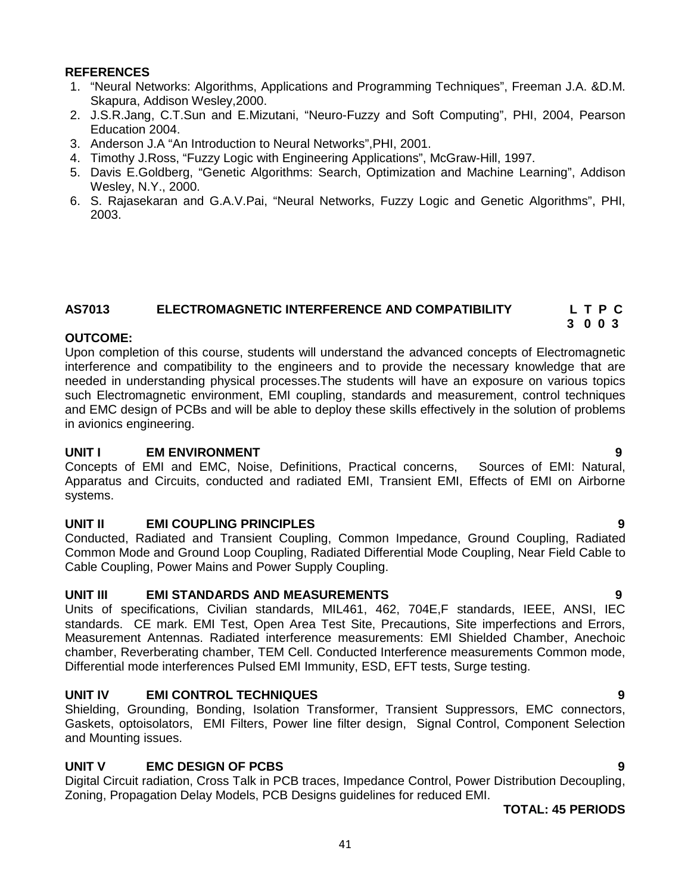## **REFERENCES**

- 1. "Neural Networks: Algorithms, Applications and Programming Techniques", Freeman J.A. &D.M. Skapura, Addison Wesley,2000.
- 2. J.S.R.Jang, C.T.Sun and E.Mizutani, "Neuro-Fuzzy and Soft Computing", PHI, 2004, Pearson Education 2004.
- 3. Anderson J.A "An Introduction to Neural Networks",PHI, 2001.
- 4. Timothy J.Ross, "Fuzzy Logic with Engineering Applications", McGraw-Hill, 1997.
- 5. Davis E.Goldberg, "Genetic Algorithms: Search, Optimization and Machine Learning", Addison Wesley, N.Y., 2000.
- 6. S. Rajasekaran and G.A.V.Pai, "Neural Networks, Fuzzy Logic and Genetic Algorithms", PHI, 2003.

## **AS7013 ELECTROMAGNETIC INTERFERENCE AND COMPATIBILITY L T P C 3 0 0 3**

## **OUTCOME:**

Upon completion of this course, students will understand the advanced concepts of Electromagnetic interference and compatibility to the engineers and to provide the necessary knowledge that are needed in understanding physical processes.The students will have an exposure on various topics such Electromagnetic environment, EMI coupling, standards and measurement, control techniques and EMC design of PCBs and will be able to deploy these skills effectively in the solution of problems in avionics engineering.

**UNIT I** EM ENVIRONMENT **1** EM ENVIRONMENT **1 1** EM ENVIRONMENT **1 1** EMI: Natural, Concepts of EMI: Natural, Concepts of EMI and EMC, Noise, Definitions, Practical concerns, Apparatus and Circuits, conducted and radiated EMI, Transient EMI, Effects of EMI on Airborne systems.

## **UNIT II EMI COUPLING PRINCIPLES 9**

Conducted, Radiated and Transient Coupling, Common Impedance, Ground Coupling, Radiated Common Mode and Ground Loop Coupling, Radiated Differential Mode Coupling, Near Field Cable to Cable Coupling, Power Mains and Power Supply Coupling.

## **UNIT III EMI STANDARDS AND MEASUREMENTS 9**

Units of specifications, Civilian standards, MIL461, 462, 704E,F standards, IEEE, ANSI, IEC standards. CE mark. EMI Test, Open Area Test Site, Precautions, Site imperfections and Errors, Measurement Antennas. Radiated interference measurements: EMI Shielded Chamber, Anechoic chamber, Reverberating chamber, TEM Cell. Conducted Interference measurements Common mode, Differential mode interferences Pulsed EMI Immunity, ESD, EFT tests, Surge testing.

## **UNIT IV EMI CONTROL TECHNIQUES 9**

Shielding, Grounding, Bonding, Isolation Transformer, Transient Suppressors, EMC connectors, Gaskets, optoisolators, EMI Filters, Power line filter design, Signal Control, Component Selection and Mounting issues.

## **UNIT V EMC DESIGN OF PCBS 9**

Digital Circuit radiation, Cross Talk in PCB traces, Impedance Control, Power Distribution Decoupling, Zoning, Propagation Delay Models, PCB Designs guidelines for reduced EMI.

**TOTAL: 45 PERIODS**